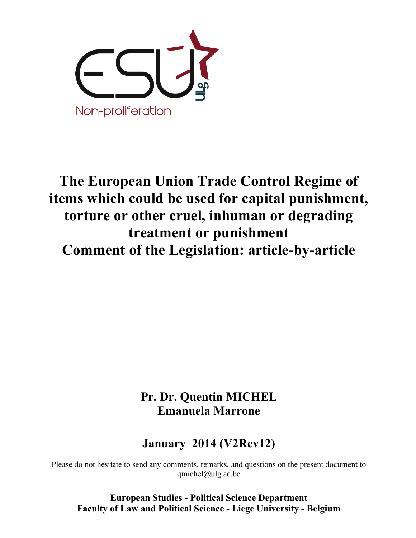

# **The European Union Trade Control Regime of items which could be used for capital punishment, torture or other cruel, inhuman or degrading treatment or punishment Comment of the Legislation: article-by-article**

**Pr. Dr. Quentin MICHEL Emanuela Marrone** 

# **January 2014 (V2Rev12)**

Please do not hesitate to send any comments, remarks, and questions on the present document to qmichel@ulg.ac.be

**European Studies - Political Science Department Faculty of Law and Political Science - Liege University - Belgium**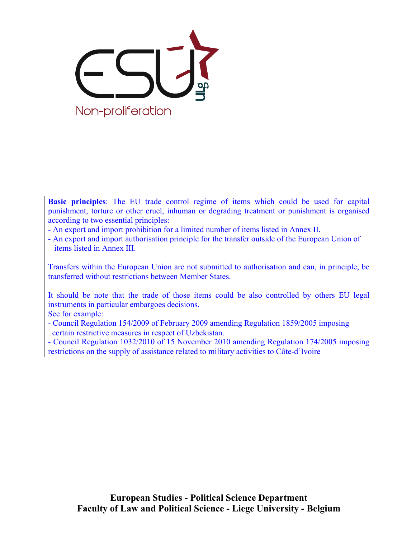

**Basic principles**: The EU trade control regime of items which could be used for capital punishment, torture or other cruel, inhuman or degrading treatment or punishment is organised according to two essential principles:

- An export and import prohibition for a limited number of items listed in Annex II.

- An export and import authorisation principle for the transfer outside of the European Union of items listed in Annex III.

Transfers within the European Union are not submitted to authorisation and can, in principle, be transferred without restrictions between Member States.

It should be note that the trade of those items could be also controlled by others EU legal instruments in particular embargoes decisions. See for example:

- Council Regulation 154/2009 of February 2009 amending Regulation 1859/2005 imposing certain restrictive measures in respect of Uzbekistan.

- Council Regulation 1032/2010 of 15 November 2010 amending Regulation 174/2005 imposing restrictions on the supply of assistance related to military activities to Côte-d'Ivoire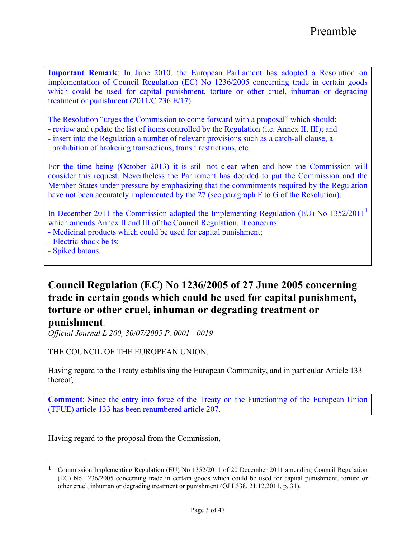**Important Remark**: In June 2010, the European Parliament has adopted a Resolution on implementation of Council Regulation (EC) No 1236/2005 concerning trade in certain goods which could be used for capital punishment, torture or other cruel, inhuman or degrading treatment or punishment (2011/C 236 E/17).

The Resolution "urges the Commission to come forward with a proposal" which should:

- review and update the list of items controlled by the Regulation (i.e. Annex II, III); and
- insert into the Regulation a number of relevant provisions such as a catch-all clause, a
- prohibition of brokering transactions, transit restrictions, etc.

For the time being (October 2013) it is still not clear when and how the Commission will consider this request. Nevertheless the Parliament has decided to put the Commission and the Member States under pressure by emphasizing that the commitments required by the Regulation have not been accurately implemented by the 27 (see paragraph F to G of the Resolution).

In December 2011 the Commission adopted the Implementing Regulation (EU) No  $1352/2011$ <sup>1</sup> which amends Annex II and III of the Council Regulation. It concerns:

- Medicinal products which could be used for capital punishment;

- Electric shock belts;

- Spiked batons.

# **Council Regulation (EC) No 1236/2005 of 27 June 2005 concerning trade in certain goods which could be used for capital punishment, torture or other cruel, inhuman or degrading treatment or**

## **punishment**.

*Official Journal L 200, 30/07/2005 P. 0001 - 0019*

THE COUNCIL OF THE EUROPEAN UNION,

Having regard to the Treaty establishing the European Community, and in particular Article 133 thereof,

**Comment**: Since the entry into force of the Treaty on the Functioning of the European Union (TFUE) article 133 has been renumbered article 207.

Having regard to the proposal from the Commission,

 

<sup>1</sup> Commission Implementing Regulation (EU) No 1352/2011 of 20 December 2011 amending Council Regulation (EC) No 1236/2005 concerning trade in certain goods which could be used for capital punishment, torture or other cruel, inhuman or degrading treatment or punishment (OJ L338, 21.12.2011, p. 31).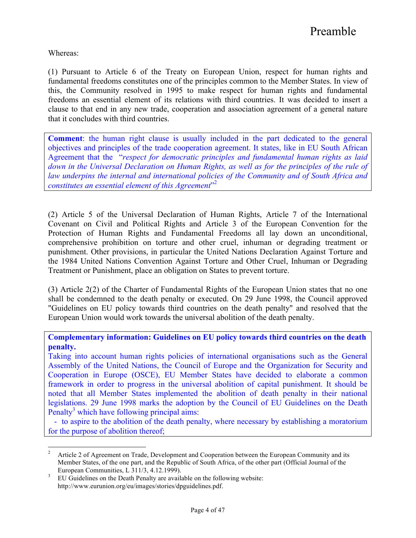Whereas:

(1) Pursuant to Article 6 of the Treaty on European Union, respect for human rights and fundamental freedoms constitutes one of the principles common to the Member States. In view of this, the Community resolved in 1995 to make respect for human rights and fundamental freedoms an essential element of its relations with third countries. It was decided to insert a clause to that end in any new trade, cooperation and association agreement of a general nature that it concludes with third countries.

**Comment**: the human right clause is usually included in the part dedicated to the general objectives and principles of the trade cooperation agreement. It states, like in EU South African Agreement that the "*respect for democratic principles and fundamental human rights as laid down in the Universal Declaration on Human Rights, as well as for the principles of the rule of law underpins the internal and international policies of the Community and of South Africa and constitutes an essential element of this Agreement*" 2

(2) Article 5 of the Universal Declaration of Human Rights, Article 7 of the International Covenant on Civil and Political Rights and Article 3 of the European Convention for the Protection of Human Rights and Fundamental Freedoms all lay down an unconditional, comprehensive prohibition on torture and other cruel, inhuman or degrading treatment or punishment. Other provisions, in particular the United Nations Declaration Against Torture and the 1984 United Nations Convention Against Torture and Other Cruel, Inhuman or Degrading Treatment or Punishment, place an obligation on States to prevent torture.

(3) Article 2(2) of the Charter of Fundamental Rights of the European Union states that no one shall be condemned to the death penalty or executed. On 29 June 1998, the Council approved "Guidelines on EU policy towards third countries on the death penalty" and resolved that the European Union would work towards the universal abolition of the death penalty.

**Complementary information: Guidelines on EU policy towards third countries on the death penalty.**

Taking into account human rights policies of international organisations such as the General Assembly of the United Nations, the Council of Europe and the Organization for Security and Cooperation in Europe (OSCE), EU Member States have decided to elaborate a common framework in order to progress in the universal abolition of capital punishment. It should be noted that all Member States implemented the abolition of death penalty in their national legislations. 29 June 1998 marks the adoption by the Council of EU Guidelines on the Death Penalty<sup>3</sup> which have following principal aims:

 - to aspire to the abolition of the death penalty, where necessary by establishing a moratorium for the purpose of abolition thereof;

 <sup>2</sup> Article 2 of Agreement on Trade, Development and Cooperation between the European Community and its Member States, of the one part, and the Republic of South Africa, of the other part (Official Journal of the European Communities, L  $\overline{311/3}$ , 4.12.1999).<br><sup>3</sup> EU Guidelines on the Death Penalty are available on the following website:

http://www.eurunion.org/eu/images/stories/dpguidelines.pdf.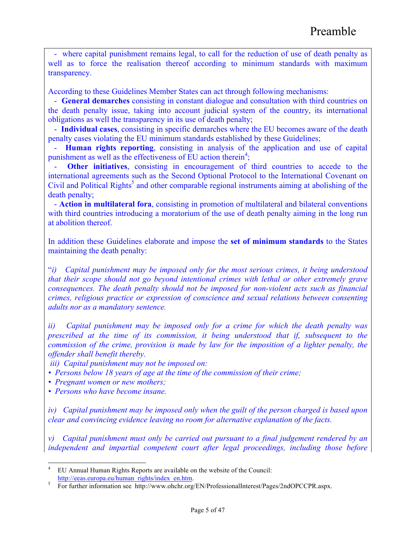- where capital punishment remains legal, to call for the reduction of use of death penalty as well as to force the realisation thereof according to minimum standards with maximum transparency.

According to these Guidelines Member States can act through following mechanisms:

 - **General demarches** consisting in constant dialogue and consultation with third countries on the death penalty issue, taking into account judicial system of the country, its international obligations as well the transparency in its use of death penalty;

 - **Individual cases**, consisting in specific demarches where the EU becomes aware of the death penalty cases violating the EU minimum standards established by these Guidelines;

Human rights reporting, consisting in analysis of the application and use of capital punishment as well as the effectiveness of EU action therein<sup>4</sup>;

**Other initiatives**, consisting in encouragement of third countries to accede to the international agreements such as the Second Optional Protocol to the International Covenant on Civil and Political Rights<sup>3</sup> and other comparable regional instruments aiming at abolishing of the death penalty;

 - **Action in multilateral fora**, consisting in promotion of multilateral and bilateral conventions with third countries introducing a moratorium of the use of death penalty aiming in the long run at abolition thereof.

In addition these Guidelines elaborate and impose the **set of minimum standards** to the States maintaining the death penalty:

"*i) Capital punishment may be imposed only for the most serious crimes, it being understood that their scope should not go beyond intentional crimes with lethal or other extremely grave consequences. The death penalty should not be imposed for non-violent acts such as financial crimes, religious practice or expression of conscience and sexual relations between consenting adults nor as a mandatory sentence.* 

*ii) Capital punishment may be imposed only for a crime for which the death penalty was prescribed at the time of its commission, it being understood that if, subsequent to the commission of the crime, provision is made by law for the imposition of a lighter penalty, the offender shall benefit thereby.* 

*iii) Capital punishment may not be imposed on:* 

- *Persons below 18 years of age at the time of the commission of their crime;*
- *Pregnant women or new mothers;*
- *Persons who have become insane.*

*iv) Capital punishment may be imposed only when the guilt of the person charged is based upon clear and convincing evidence leaving no room for alternative explanation of the facts.* 

*v) Capital punishment must only be carried out pursuant to a final judgement rendered by an independent and impartial competent court after legal proceedings, including those before* 

 <sup>4</sup> EU Annual Human Rights Reports are available on the website of the Council:

http://eeas.europa.eu/human\_rights/index\_en.htm.<br>For further information see http://www.ohchr.org/EN/ProfessionalInterest/Pages/2ndOPCCPR.aspx.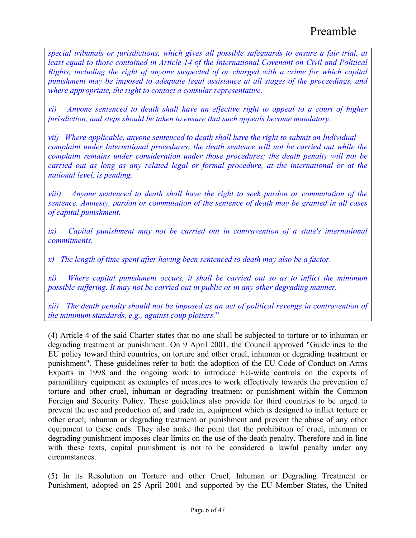*special tribunals or jurisdictions, which gives all possible safeguards to ensure a fair trial, at least equal to those contained in Article 14 of the International Covenant on Civil and Political Rights, including the right of anyone suspected of or charged with a crime for which capital punishment may be imposed to adequate legal assistance at all stages of the proceedings, and where appropriate, the right to contact a consular representative.* 

*vi) Anyone sentenced to death shall have an effective right to appeal to a court of higher jurisdiction, and steps should be taken to ensure that such appeals become mandatory.* 

*vii) Where applicable, anyone sentenced to death shall have the right to submit an Individual complaint under International procedures; the death sentence will not be carried out while the complaint remains under consideration under those procedures; the death penalty will not be*  carried out as long as any related legal or formal procedure, at the international or at the *national level, is pending.* 

*viii) Anyone sentenced to death shall have the right to seek pardon or commutation of the sentence. Amnesty, pardon or commutation of the sentence of death may be granted in all cases of capital punishment.* 

*ix) Capital punishment may not be carried out in contravention of a state's international commitments.* 

*x) The length of time spent after having been sentenced to death may also be a factor.* 

*xi) Where capital punishment occurs, it shall be carried out so as to inflict the minimum possible suffering. It may not be carried out in public or in any other degrading manner.* 

*xii) The death penalty should not be imposed as an act of political revenge in contravention of the minimum standards, e.g., against coup plotters.*"

(4) Article 4 of the said Charter states that no one shall be subjected to torture or to inhuman or degrading treatment or punishment. On 9 April 2001, the Council approved "Guidelines to the EU policy toward third countries, on torture and other cruel, inhuman or degrading treatment or punishment". These guidelines refer to both the adoption of the EU Code of Conduct on Arms Exports in 1998 and the ongoing work to introduce EU-wide controls on the exports of paramilitary equipment as examples of measures to work effectively towards the prevention of torture and other cruel, inhuman or degrading treatment or punishment within the Common Foreign and Security Policy. These guidelines also provide for third countries to be urged to prevent the use and production of, and trade in, equipment which is designed to inflict torture or other cruel, inhuman or degrading treatment or punishment and prevent the abuse of any other equipment to these ends. They also make the point that the prohibition of cruel, inhuman or degrading punishment imposes clear limits on the use of the death penalty. Therefore and in line with these texts, capital punishment is not to be considered a lawful penalty under any circumstances.

(5) In its Resolution on Torture and other Cruel, Inhuman or Degrading Treatment or Punishment, adopted on 25 April 2001 and supported by the EU Member States, the United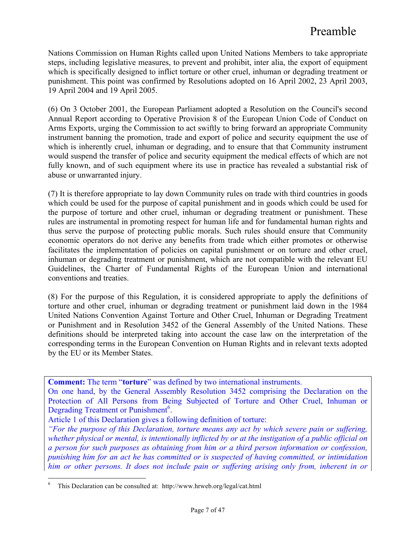Nations Commission on Human Rights called upon United Nations Members to take appropriate steps, including legislative measures, to prevent and prohibit, inter alia, the export of equipment which is specifically designed to inflict torture or other cruel, inhuman or degrading treatment or punishment. This point was confirmed by Resolutions adopted on 16 April 2002, 23 April 2003, 19 April 2004 and 19 April 2005.

(6) On 3 October 2001, the European Parliament adopted a Resolution on the Council's second Annual Report according to Operative Provision 8 of the European Union Code of Conduct on Arms Exports, urging the Commission to act swiftly to bring forward an appropriate Community instrument banning the promotion, trade and export of police and security equipment the use of which is inherently cruel, inhuman or degrading, and to ensure that that Community instrument would suspend the transfer of police and security equipment the medical effects of which are not fully known, and of such equipment where its use in practice has revealed a substantial risk of abuse or unwarranted injury.

(7) It is therefore appropriate to lay down Community rules on trade with third countries in goods which could be used for the purpose of capital punishment and in goods which could be used for the purpose of torture and other cruel, inhuman or degrading treatment or punishment. These rules are instrumental in promoting respect for human life and for fundamental human rights and thus serve the purpose of protecting public morals. Such rules should ensure that Community economic operators do not derive any benefits from trade which either promotes or otherwise facilitates the implementation of policies on capital punishment or on torture and other cruel, inhuman or degrading treatment or punishment, which are not compatible with the relevant EU Guidelines, the Charter of Fundamental Rights of the European Union and international conventions and treaties.

(8) For the purpose of this Regulation, it is considered appropriate to apply the definitions of torture and other cruel, inhuman or degrading treatment or punishment laid down in the 1984 United Nations Convention Against Torture and Other Cruel, Inhuman or Degrading Treatment or Punishment and in Resolution 3452 of the General Assembly of the United Nations. These definitions should be interpreted taking into account the case law on the interpretation of the corresponding terms in the European Convention on Human Rights and in relevant texts adopted by the EU or its Member States.

**Comment:** The term "**torture**" was defined by two international instruments.

On one hand, by the General Assembly Resolution 3452 comprising the Declaration on the Protection of All Persons from Being Subjected of Torture and Other Cruel, Inhuman or Degrading Treatment or Punishment<sup>6</sup>.

Article 1 of this Declaration gives a following definition of torture:

*"For the purpose of this Declaration, torture means any act by which severe pain or suffering, whether physical or mental, is intentionally inflicted by or at the instigation of a public official on a person for such purposes as obtaining from him or a third person information or confession, punishing him for an act he has committed or is suspected of having committed, or intimidation him or other persons. It does not include pain or suffering arising only from, inherent in or* 

 <sup>6</sup> This Declaration can be consulted at: http://www.hrweb.org/legal/cat.html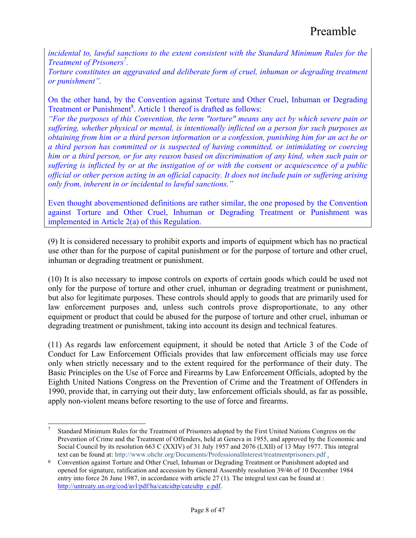*incidental to, lawful sanctions to the extent consistent with the Standard Minimum Rules for the Treatment of Prisoners<sup>7</sup> .*

*Torture constitutes an aggravated and deliberate form of cruel, inhuman or degrading treatment or punishment".*

On the other hand, by the Convention against Torture and Other Cruel, Inhuman or Degrading Treatment or Punishment<sup>8</sup>. Article 1 thereof is drafted as follows:

*"For the purposes of this Convention, the term "torture" means any act by which severe pain or suffering, whether physical or mental, is intentionally inflicted on a person for such purposes as obtaining from him or a third person information or a confession, punishing him for an act he or a third person has committed or is suspected of having committed, or intimidating or coercing him or a third person, or for any reason based on discrimination of any kind, when such pain or suffering is inflicted by or at the instigation of or with the consent or acquiescence of a public official or other person acting in an official capacity. It does not include pain or suffering arising only from, inherent in or incidental to lawful sanctions."*

Even thought abovementioned definitions are rather similar, the one proposed by the Convention against Torture and Other Cruel, Inhuman or Degrading Treatment or Punishment was implemented in Article 2(a) of this Regulation.

(9) It is considered necessary to prohibit exports and imports of equipment which has no practical use other than for the purpose of capital punishment or for the purpose of torture and other cruel, inhuman or degrading treatment or punishment.

(10) It is also necessary to impose controls on exports of certain goods which could be used not only for the purpose of torture and other cruel, inhuman or degrading treatment or punishment, but also for legitimate purposes. These controls should apply to goods that are primarily used for law enforcement purposes and, unless such controls prove disproportionate, to any other equipment or product that could be abused for the purpose of torture and other cruel, inhuman or degrading treatment or punishment, taking into account its design and technical features.

(11) As regards law enforcement equipment, it should be noted that Article 3 of the Code of Conduct for Law Enforcement Officials provides that law enforcement officials may use force only when strictly necessary and to the extent required for the performance of their duty. The Basic Principles on the Use of Force and Firearms by Law Enforcement Officials, adopted by the Eighth United Nations Congress on the Prevention of Crime and the Treatment of Offenders in 1990, provide that, in carrying out their duty, law enforcement officials should, as far as possible, apply non-violent means before resorting to the use of force and firearms.

 <sup>7</sup> Standard Minimum Rules for the Treatment of Prisoners adopted by the First United Nations Congress on the Prevention of Crime and the Treatment of Offenders, held at Geneva in 1955, and approved by the Economic and Social Council by its resolution 663 C (XXIV) of 31 July 1957 and 2076 (LXII) of 13 May 1977. This integral text can be found at: http://www.ohchr.org/Documents/ProfessionalInterest/treatmentprisoners.pdf .

<sup>8</sup> Convention against Torture and Other Cruel, Inhuman or Degrading Treatment or Punishment adopted and opened for signature, ratification and accession by General Assembly resolution 39/46 of 10 December 1984 entry into force 26 June 1987, in accordance with article 27 (1). The integral text can be found at : http://untreaty.un.org/cod/avl/pdf/ha/catcidtp/catcidtp\_e.pdf.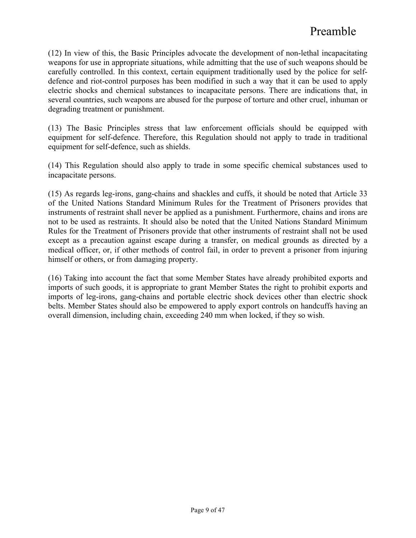(12) In view of this, the Basic Principles advocate the development of non-lethal incapacitating weapons for use in appropriate situations, while admitting that the use of such weapons should be carefully controlled. In this context, certain equipment traditionally used by the police for selfdefence and riot-control purposes has been modified in such a way that it can be used to apply electric shocks and chemical substances to incapacitate persons. There are indications that, in several countries, such weapons are abused for the purpose of torture and other cruel, inhuman or degrading treatment or punishment.

(13) The Basic Principles stress that law enforcement officials should be equipped with equipment for self-defence. Therefore, this Regulation should not apply to trade in traditional equipment for self-defence, such as shields.

(14) This Regulation should also apply to trade in some specific chemical substances used to incapacitate persons.

(15) As regards leg-irons, gang-chains and shackles and cuffs, it should be noted that Article 33 of the United Nations Standard Minimum Rules for the Treatment of Prisoners provides that instruments of restraint shall never be applied as a punishment. Furthermore, chains and irons are not to be used as restraints. It should also be noted that the United Nations Standard Minimum Rules for the Treatment of Prisoners provide that other instruments of restraint shall not be used except as a precaution against escape during a transfer, on medical grounds as directed by a medical officer, or, if other methods of control fail, in order to prevent a prisoner from injuring himself or others, or from damaging property.

(16) Taking into account the fact that some Member States have already prohibited exports and imports of such goods, it is appropriate to grant Member States the right to prohibit exports and imports of leg-irons, gang-chains and portable electric shock devices other than electric shock belts. Member States should also be empowered to apply export controls on handcuffs having an overall dimension, including chain, exceeding 240 mm when locked, if they so wish.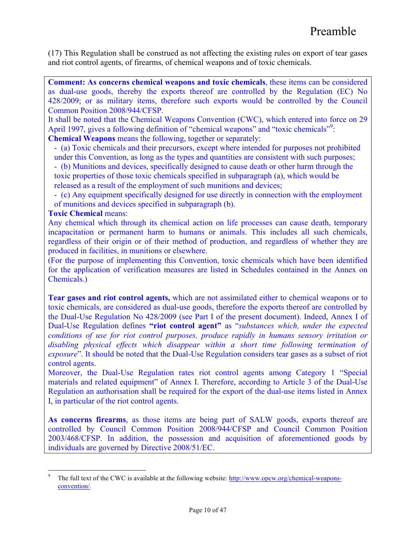(17) This Regulation shall be construed as not affecting the existing rules on export of tear gases and riot control agents, of firearms, of chemical weapons and of toxic chemicals.

**Comment: As concerns chemical weapons and toxic chemicals**, these items can be considered as dual-use goods, thereby the exports thereof are controlled by the Regulation (EC) No 428/2009; or as military items, therefore such exports would be controlled by the Council Common Position 2008/944/CFSP.

It shall be noted that the Chemical Weapons Convention (CWC), which entered into force on 29 April 1997, gives a following definition of "chemical weapons" and "toxic chemicals"<sup>9</sup>:

**Chemical Weapons** means the following, together or separately:

 - (a) Toxic chemicals and their precursors, except where intended for purposes not prohibited under this Convention, as long as the types and quantities are consistent with such purposes;

 - (b) Munitions and devices, specifically designed to cause death or other harm through the toxic properties of those toxic chemicals specified in subparagraph (a), which would be released as a result of the employment of such munitions and devices;

 - (c) Any equipment specifically designed for use directly in connection with the employment of munitions and devices specified in subparagraph (b).

### **Toxic Chemical** means:

Any chemical which through its chemical action on life processes can cause death, temporary incapacitation or permanent harm to humans or animals. This includes all such chemicals, regardless of their origin or of their method of production, and regardless of whether they are produced in facilities, in munitions or elsewhere.

(For the purpose of implementing this Convention, toxic chemicals which have been identified for the application of verification measures are listed in Schedules contained in the Annex on Chemicals.)

**Tear gases and riot control agents,** which are not assimilated either to chemical weapons or to toxic chemicals, are considered as dual-use goods, therefore the exports thereof are controlled by the Dual-Use Regulation No 428/2009 (see Part I of the present document). Indeed, Annex I of Dual-Use Regulation defines **"riot control agent"** as "*substances which, under the expected conditions of use for riot control purposes, produce rapidly in humans sensory irritation or disabling physical effects which disappear within a short time following termination of exposure*". It should be noted that the Dual-Use Regulation considers tear gases as a subset of riot control agents.

Moreover, the Dual-Use Regulation rates riot control agents among Category 1 "Special materials and related equipment" of Annex I. Therefore, according to Article 3 of the Dual-Use Regulation an authorisation shall be required for the export of the dual-use items listed in Annex I, in particular of the riot control agents.

**As concerns firearms**, as those items are being part of SALW goods, exports thereof are controlled by Council Common Position 2008/944/CFSP and Council Common Position 2003/468/CFSP. In addition, the possession and acquisition of aforementioned goods by individuals are governed by Directive 2008/51/EC.

<sup>&</sup>lt;sup>9</sup> The full text of the CWC is available at the following website: http://www.opcw.org/chemical-weaponsconvention/.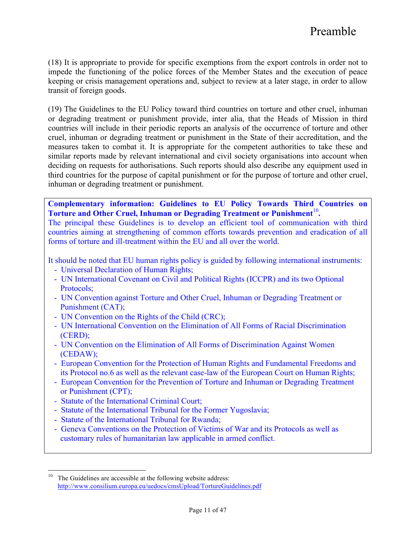(18) It is appropriate to provide for specific exemptions from the export controls in order not to impede the functioning of the police forces of the Member States and the execution of peace keeping or crisis management operations and, subject to review at a later stage, in order to allow transit of foreign goods.

(19) The Guidelines to the EU Policy toward third countries on torture and other cruel, inhuman or degrading treatment or punishment provide, inter alia, that the Heads of Mission in third countries will include in their periodic reports an analysis of the occurrence of torture and other cruel, inhuman or degrading treatment or punishment in the State of their accreditation, and the measures taken to combat it. It is appropriate for the competent authorities to take these and similar reports made by relevant international and civil society organisations into account when deciding on requests for authorisations. Such reports should also describe any equipment used in third countries for the purpose of capital punishment or for the purpose of torture and other cruel, inhuman or degrading treatment or punishment.

**Complementary information: Guidelines to EU Policy Towards Third Countries on Torture and Other Cruel, Inhuman or Degrading Treatment or Punishment**<sup>10</sup>.

The principal these Guidelines is to develop an efficient tool of communication with third countries aiming at strengthening of common efforts towards prevention and eradication of all forms of torture and ill-treatment within the EU and all over the world.

It should be noted that EU human rights policy is guided by following international instruments:

- Universal Declaration of Human Rights;
- UN International Covenant on Civil and Political Rights (ICCPR) and its two Optional Protocols:
- UN Convention against Torture and Other Cruel, Inhuman or Degrading Treatment or Punishment (CAT);
- UN Convention on the Rights of the Child (CRC);
- UN International Convention on the Elimination of All Forms of Racial Discrimination (CERD);
- UN Convention on the Elimination of All Forms of Discrimination Against Women (CEDAW);
- European Convention for the Protection of Human Rights and Fundamental Freedoms and its Protocol no.6 as well as the relevant case-law of the European Court on Human Rights;
- European Convention for the Prevention of Torture and Inhuman or Degrading Treatment or Punishment (CPT);
- Statute of the International Criminal Court;
- Statute of the International Tribunal for the Former Yugoslavia;
- Statute of the International Tribunal for Rwanda;
- Geneva Conventions on the Protection of Victims of War and its Protocols as well as customary rules of humanitarian law applicable in armed conflict.

 $10$  The Guidelines are accessible at the following website address: http://www.consilium.europa.eu/uedocs/cmsUpload/TortureGuidelines.pdf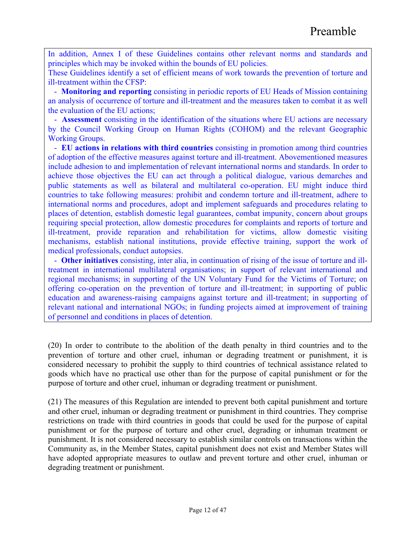In addition, Annex I of these Guidelines contains other relevant norms and standards and principles which may be invoked within the bounds of EU policies.

These Guidelines identify a set of efficient means of work towards the prevention of torture and ill-treatment within the CFSP:

 - **Monitoring and reporting** consisting in periodic reports of EU Heads of Mission containing an analysis of occurrence of torture and ill-treatment and the measures taken to combat it as well the evaluation of the EU actions;

 - **Assessment** consisting in the identification of the situations where EU actions are necessary by the Council Working Group on Human Rights (COHOM) and the relevant Geographic Working Groups.

 - **EU actions in relations with third countries** consisting in promotion among third countries of adoption of the effective measures against torture and ill-treatment. Abovementioned measures include adhesion to and implementation of relevant international norms and standards. In order to achieve those objectives the EU can act through a political dialogue, various demarches and public statements as well as bilateral and multilateral co-operation. EU might induce third countries to take following measures: prohibit and condemn torture and ill-treatment, adhere to international norms and procedures, adopt and implement safeguards and procedures relating to places of detention, establish domestic legal guarantees, combat impunity, concern about groups requiring special protection, allow domestic procedures for complaints and reports of torture and ill-treatment, provide reparation and rehabilitation for victims, allow domestic visiting mechanisms, establish national institutions, provide effective training, support the work of medical professionals, conduct autopsies.

 - **Other initiatives** consisting, inter alia, in continuation of rising of the issue of torture and illtreatment in international multilateral organisations; in support of relevant international and regional mechanisms; in supporting of the UN Voluntary Fund for the Victims of Torture; on offering co-operation on the prevention of torture and ill-treatment; in supporting of public education and awareness-raising campaigns against torture and ill-treatment; in supporting of relevant national and international NGOs; in funding projects aimed at improvement of training of personnel and conditions in places of detention.

(20) In order to contribute to the abolition of the death penalty in third countries and to the prevention of torture and other cruel, inhuman or degrading treatment or punishment, it is considered necessary to prohibit the supply to third countries of technical assistance related to goods which have no practical use other than for the purpose of capital punishment or for the purpose of torture and other cruel, inhuman or degrading treatment or punishment.

(21) The measures of this Regulation are intended to prevent both capital punishment and torture and other cruel, inhuman or degrading treatment or punishment in third countries. They comprise restrictions on trade with third countries in goods that could be used for the purpose of capital punishment or for the purpose of torture and other cruel, degrading or inhuman treatment or punishment. It is not considered necessary to establish similar controls on transactions within the Community as, in the Member States, capital punishment does not exist and Member States will have adopted appropriate measures to outlaw and prevent torture and other cruel, inhuman or degrading treatment or punishment.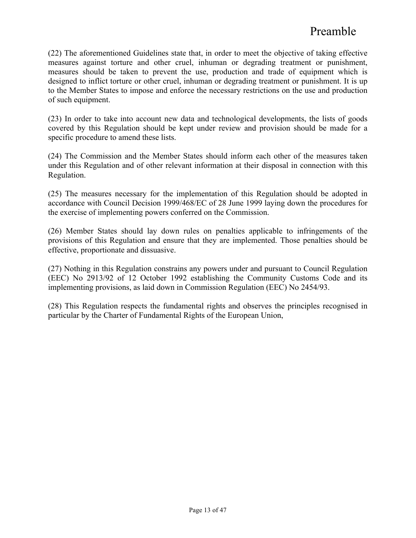(22) The aforementioned Guidelines state that, in order to meet the objective of taking effective measures against torture and other cruel, inhuman or degrading treatment or punishment, measures should be taken to prevent the use, production and trade of equipment which is designed to inflict torture or other cruel, inhuman or degrading treatment or punishment. It is up to the Member States to impose and enforce the necessary restrictions on the use and production of such equipment.

(23) In order to take into account new data and technological developments, the lists of goods covered by this Regulation should be kept under review and provision should be made for a specific procedure to amend these lists.

(24) The Commission and the Member States should inform each other of the measures taken under this Regulation and of other relevant information at their disposal in connection with this Regulation.

(25) The measures necessary for the implementation of this Regulation should be adopted in accordance with Council Decision 1999/468/EC of 28 June 1999 laying down the procedures for the exercise of implementing powers conferred on the Commission.

(26) Member States should lay down rules on penalties applicable to infringements of the provisions of this Regulation and ensure that they are implemented. Those penalties should be effective, proportionate and dissuasive.

(27) Nothing in this Regulation constrains any powers under and pursuant to Council Regulation (EEC) No 2913/92 of 12 October 1992 establishing the Community Customs Code and its implementing provisions, as laid down in Commission Regulation (EEC) No 2454/93.

(28) This Regulation respects the fundamental rights and observes the principles recognised in particular by the Charter of Fundamental Rights of the European Union,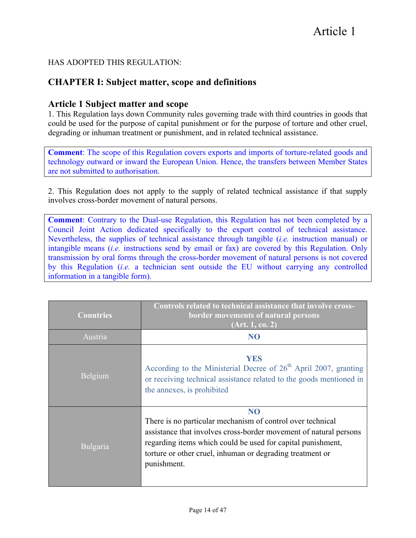## HAS ADOPTED THIS REGULATION:

## **CHAPTER I: Subject matter, scope and definitions**

### **Article 1 Subject matter and scope**

1. This Regulation lays down Community rules governing trade with third countries in goods that could be used for the purpose of capital punishment or for the purpose of torture and other cruel, degrading or inhuman treatment or punishment, and in related technical assistance.

**Comment**: The scope of this Regulation covers exports and imports of torture-related goods and technology outward or inward the European Union. Hence, the transfers between Member States are not submitted to authorisation.

2. This Regulation does not apply to the supply of related technical assistance if that supply involves cross-border movement of natural persons.

**Comment**: Contrary to the Dual-use Regulation, this Regulation has not been completed by a Council Joint Action dedicated specifically to the export control of technical assistance. Nevertheless, the supplies of technical assistance through tangible (*i.e.* instruction manual) or intangible means (*i.e.* instructions send by email or fax) are covered by this Regulation. Only transmission by oral forms through the cross-border movement of natural persons is not covered by this Regulation (*i.e.* a technician sent outside the EU without carrying any controlled information in a tangible form).

| <b>Countries</b> | Controls related to technical assistance that involve cross-<br>border movements of natural persons<br>(Art. 1, co. 2)                                                                                                                                                                       |
|------------------|----------------------------------------------------------------------------------------------------------------------------------------------------------------------------------------------------------------------------------------------------------------------------------------------|
| Austria          | N <sub>O</sub>                                                                                                                                                                                                                                                                               |
| Belgium          | <b>YES</b><br>According to the Ministerial Decree of $26th$ April 2007, granting<br>or receiving technical assistance related to the goods mentioned in<br>the annexes, is prohibited                                                                                                        |
| Bulgaria         | N <sub>O</sub><br>There is no particular mechanism of control over technical<br>assistance that involves cross-border movement of natural persons<br>regarding items which could be used for capital punishment,<br>torture or other cruel, inhuman or degrading treatment or<br>punishment. |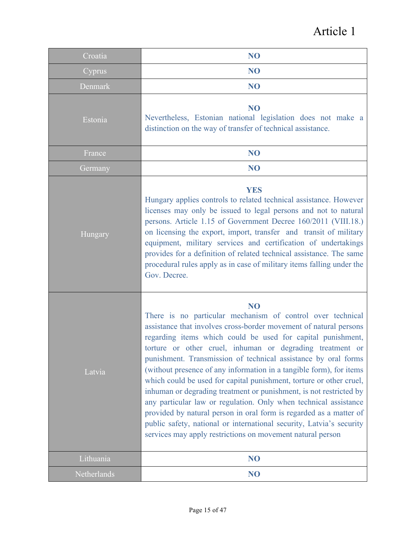# Article 1

| Croatia     | N <sub>O</sub>                                                                                                                                                                                                                                                                                                                                                                                                                                                                                                                                                                                                                                                                                                                                                                                                                                      |
|-------------|-----------------------------------------------------------------------------------------------------------------------------------------------------------------------------------------------------------------------------------------------------------------------------------------------------------------------------------------------------------------------------------------------------------------------------------------------------------------------------------------------------------------------------------------------------------------------------------------------------------------------------------------------------------------------------------------------------------------------------------------------------------------------------------------------------------------------------------------------------|
| Cyprus      | N <sub>O</sub>                                                                                                                                                                                                                                                                                                                                                                                                                                                                                                                                                                                                                                                                                                                                                                                                                                      |
| Denmark     | N <sub>O</sub>                                                                                                                                                                                                                                                                                                                                                                                                                                                                                                                                                                                                                                                                                                                                                                                                                                      |
| Estonia     | N <sub>O</sub><br>Nevertheless, Estonian national legislation does not make a<br>distinction on the way of transfer of technical assistance.                                                                                                                                                                                                                                                                                                                                                                                                                                                                                                                                                                                                                                                                                                        |
| France      | N <sub>O</sub>                                                                                                                                                                                                                                                                                                                                                                                                                                                                                                                                                                                                                                                                                                                                                                                                                                      |
| Germany     | N <sub>O</sub>                                                                                                                                                                                                                                                                                                                                                                                                                                                                                                                                                                                                                                                                                                                                                                                                                                      |
| Hungary     | <b>YES</b><br>Hungary applies controls to related technical assistance. However<br>licenses may only be issued to legal persons and not to natural<br>persons. Article 1.15 of Government Decree 160/2011 (VIII.18.)<br>on licensing the export, import, transfer and transit of military<br>equipment, military services and certification of undertakings<br>provides for a definition of related technical assistance. The same<br>procedural rules apply as in case of military items falling under the<br>Gov. Decree.                                                                                                                                                                                                                                                                                                                         |
| Latvia      | N <sub>O</sub><br>There is no particular mechanism of control over technical<br>assistance that involves cross-border movement of natural persons<br>regarding items which could be used for capital punishment,<br>torture or other cruel, inhuman or degrading treatment or<br>punishment. Transmission of technical assistance by oral forms<br>(without presence of any information in a tangible form), for items<br>which could be used for capital punishment, torture or other cruel,<br>inhuman or degrading treatment or punishment, is not restricted by<br>any particular law or regulation. Only when technical assistance<br>provided by natural person in oral form is regarded as a matter of<br>public safety, national or international security, Latvia's security<br>services may apply restrictions on movement natural person |
| Lithuania   | N <sub>O</sub>                                                                                                                                                                                                                                                                                                                                                                                                                                                                                                                                                                                                                                                                                                                                                                                                                                      |
| Netherlands | N <sub>O</sub>                                                                                                                                                                                                                                                                                                                                                                                                                                                                                                                                                                                                                                                                                                                                                                                                                                      |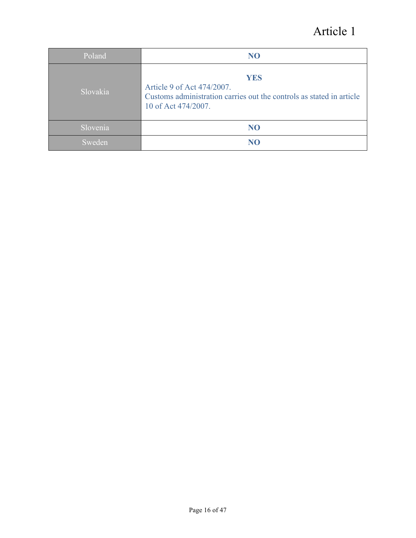# Article 1

| Poland   | NO                                                                                                                                      |
|----------|-----------------------------------------------------------------------------------------------------------------------------------------|
| Slovakia | <b>YES</b><br>Article 9 of Act 474/2007.<br>Customs administration carries out the controls as stated in article<br>10 of Act 474/2007. |
| Slovenia | N <sub>O</sub>                                                                                                                          |
| Sweden   |                                                                                                                                         |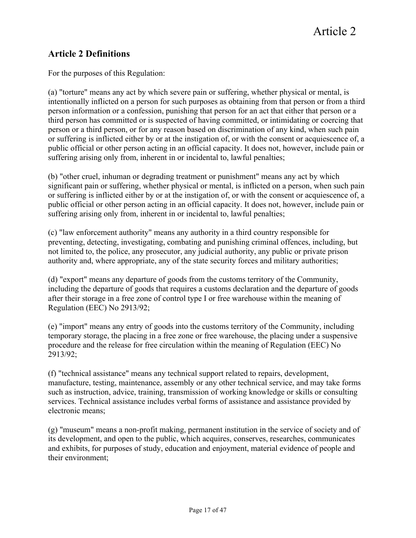## **Article 2 Definitions**

For the purposes of this Regulation:

(a) "torture" means any act by which severe pain or suffering, whether physical or mental, is intentionally inflicted on a person for such purposes as obtaining from that person or from a third person information or a confession, punishing that person for an act that either that person or a third person has committed or is suspected of having committed, or intimidating or coercing that person or a third person, or for any reason based on discrimination of any kind, when such pain or suffering is inflicted either by or at the instigation of, or with the consent or acquiescence of, a public official or other person acting in an official capacity. It does not, however, include pain or suffering arising only from, inherent in or incidental to, lawful penalties;

(b) "other cruel, inhuman or degrading treatment or punishment" means any act by which significant pain or suffering, whether physical or mental, is inflicted on a person, when such pain or suffering is inflicted either by or at the instigation of, or with the consent or acquiescence of, a public official or other person acting in an official capacity. It does not, however, include pain or suffering arising only from, inherent in or incidental to, lawful penalties;

(c) "law enforcement authority" means any authority in a third country responsible for preventing, detecting, investigating, combating and punishing criminal offences, including, but not limited to, the police, any prosecutor, any judicial authority, any public or private prison authority and, where appropriate, any of the state security forces and military authorities;

(d) "export" means any departure of goods from the customs territory of the Community, including the departure of goods that requires a customs declaration and the departure of goods after their storage in a free zone of control type I or free warehouse within the meaning of Regulation (EEC) No 2913/92;

(e) "import" means any entry of goods into the customs territory of the Community, including temporary storage, the placing in a free zone or free warehouse, the placing under a suspensive procedure and the release for free circulation within the meaning of Regulation (EEC) No 2913/92;

(f) "technical assistance" means any technical support related to repairs, development, manufacture, testing, maintenance, assembly or any other technical service, and may take forms such as instruction, advice, training, transmission of working knowledge or skills or consulting services. Technical assistance includes verbal forms of assistance and assistance provided by electronic means;

(g) "museum" means a non-profit making, permanent institution in the service of society and of its development, and open to the public, which acquires, conserves, researches, communicates and exhibits, for purposes of study, education and enjoyment, material evidence of people and their environment;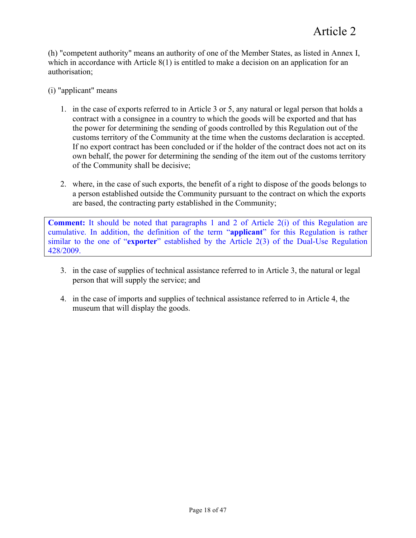(h) "competent authority" means an authority of one of the Member States, as listed in Annex I, which in accordance with Article 8(1) is entitled to make a decision on an application for an authorisation;

- (i) "applicant" means
	- 1. in the case of exports referred to in Article 3 or 5, any natural or legal person that holds a contract with a consignee in a country to which the goods will be exported and that has the power for determining the sending of goods controlled by this Regulation out of the customs territory of the Community at the time when the customs declaration is accepted. If no export contract has been concluded or if the holder of the contract does not act on its own behalf, the power for determining the sending of the item out of the customs territory of the Community shall be decisive;
	- 2. where, in the case of such exports, the benefit of a right to dispose of the goods belongs to a person established outside the Community pursuant to the contract on which the exports are based, the contracting party established in the Community;

**Comment:** It should be noted that paragraphs 1 and 2 of Article 2(i) of this Regulation are cumulative. In addition, the definition of the term "**applicant**" for this Regulation is rather similar to the one of "**exporter**" established by the Article 2(3) of the Dual-Use Regulation 428/2009.

- 3. in the case of supplies of technical assistance referred to in Article 3, the natural or legal person that will supply the service; and
- 4. in the case of imports and supplies of technical assistance referred to in Article 4, the museum that will display the goods.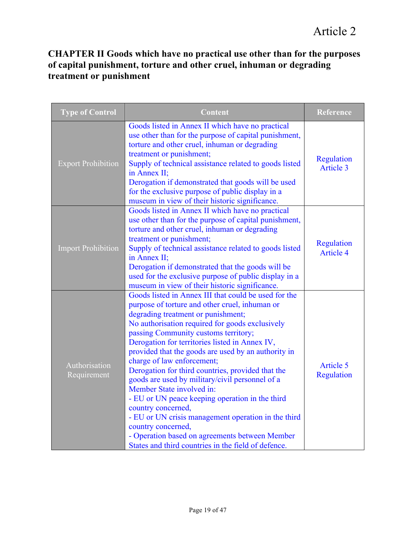# **CHAPTER II Goods which have no practical use other than for the purposes of capital punishment, torture and other cruel, inhuman or degrading treatment or punishment**

| <b>Type of Control</b>       | <b>Content</b>                                                                                                                                                                                                                                                                                                                                                                                                                                                                                                                                                                                                                                                                                                                                                                     | Reference                      |
|------------------------------|------------------------------------------------------------------------------------------------------------------------------------------------------------------------------------------------------------------------------------------------------------------------------------------------------------------------------------------------------------------------------------------------------------------------------------------------------------------------------------------------------------------------------------------------------------------------------------------------------------------------------------------------------------------------------------------------------------------------------------------------------------------------------------|--------------------------------|
| <b>Export Prohibition</b>    | Goods listed in Annex II which have no practical<br>use other than for the purpose of capital punishment,<br>torture and other cruel, inhuman or degrading<br>treatment or punishment;<br>Supply of technical assistance related to goods listed<br>in Annex II;<br>Derogation if demonstrated that goods will be used<br>for the exclusive purpose of public display in a<br>museum in view of their historic significance.                                                                                                                                                                                                                                                                                                                                                       | Regulation<br><b>Article 3</b> |
| <b>Import Prohibition</b>    | Goods listed in Annex II which have no practical<br>use other than for the purpose of capital punishment,<br>torture and other cruel, inhuman or degrading<br>treatment or punishment;<br>Supply of technical assistance related to goods listed<br>in Annex II:<br>Derogation if demonstrated that the goods will be<br>used for the exclusive purpose of public display in a<br>museum in view of their historic significance.                                                                                                                                                                                                                                                                                                                                                   | Regulation<br><b>Article 4</b> |
| Authorisation<br>Requirement | Goods listed in Annex III that could be used for the<br>purpose of torture and other cruel, inhuman or<br>degrading treatment or punishment;<br>No authorisation required for goods exclusively<br>passing Community customs territory;<br>Derogation for territories listed in Annex IV,<br>provided that the goods are used by an authority in<br>charge of law enforcement;<br>Derogation for third countries, provided that the<br>goods are used by military/civil personnel of a<br>Member State involved in:<br>- EU or UN peace keeping operation in the third<br>country concerned,<br>- EU or UN crisis management operation in the third<br>country concerned,<br>- Operation based on agreements between Member<br>States and third countries in the field of defence. | <b>Article 5</b><br>Regulation |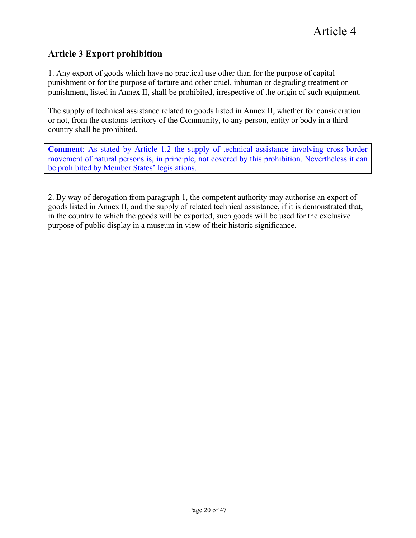## **Article 3 Export prohibition**

1. Any export of goods which have no practical use other than for the purpose of capital punishment or for the purpose of torture and other cruel, inhuman or degrading treatment or punishment, listed in Annex II, shall be prohibited, irrespective of the origin of such equipment.

The supply of technical assistance related to goods listed in Annex II, whether for consideration or not, from the customs territory of the Community, to any person, entity or body in a third country shall be prohibited.

**Comment**: As stated by Article 1.2 the supply of technical assistance involving cross-border movement of natural persons is, in principle, not covered by this prohibition. Nevertheless it can be prohibited by Member States' legislations.

2. By way of derogation from paragraph 1, the competent authority may authorise an export of goods listed in Annex II, and the supply of related technical assistance, if it is demonstrated that, in the country to which the goods will be exported, such goods will be used for the exclusive purpose of public display in a museum in view of their historic significance.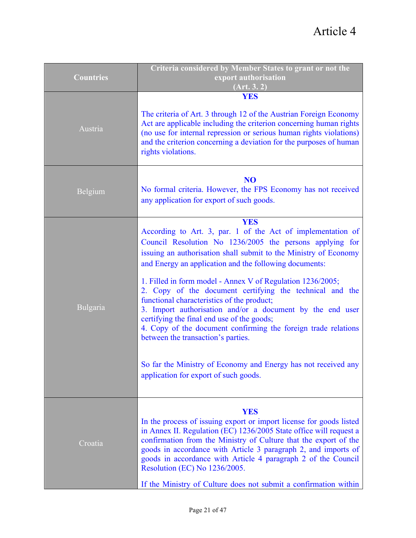| <b>Countries</b> | Criteria considered by Member States to grant or not the<br>export authorisation<br>(Art. 3.2)                                                                                                                                                                                                                                                                                                                                                                                                                                                                                                                                                                                                                                                                            |
|------------------|---------------------------------------------------------------------------------------------------------------------------------------------------------------------------------------------------------------------------------------------------------------------------------------------------------------------------------------------------------------------------------------------------------------------------------------------------------------------------------------------------------------------------------------------------------------------------------------------------------------------------------------------------------------------------------------------------------------------------------------------------------------------------|
| Austria          | <b>YES</b><br>The criteria of Art. 3 through 12 of the Austrian Foreign Economy<br>Act are applicable including the criterion concerning human rights<br>(no use for internal repression or serious human rights violations)<br>and the criterion concerning a deviation for the purposes of human<br>rights violations.                                                                                                                                                                                                                                                                                                                                                                                                                                                  |
| Belgium          | N <sub>O</sub><br>No formal criteria. However, the FPS Economy has not received<br>any application for export of such goods.                                                                                                                                                                                                                                                                                                                                                                                                                                                                                                                                                                                                                                              |
| Bulgaria         | <b>YES</b><br>According to Art. 3, par. 1 of the Act of implementation of<br>Council Resolution No 1236/2005 the persons applying for<br>issuing an authorisation shall submit to the Ministry of Economy<br>and Energy an application and the following documents:<br>1. Filled in form model - Annex V of Regulation 1236/2005;<br>2. Copy of the document certifying the technical and the<br>functional characteristics of the product;<br>3. Import authorisation and/or a document by the end user<br>certifying the final end use of the goods;<br>4. Copy of the document confirming the foreign trade relations<br>between the transaction's parties.<br>So far the Ministry of Economy and Energy has not received any<br>application for export of such goods. |
| Croatia          | <b>YES</b><br>In the process of issuing export or import license for goods listed<br>in Annex II. Regulation (EC) 1236/2005 State office will request a<br>confirmation from the Ministry of Culture that the export of the<br>goods in accordance with Article 3 paragraph 2, and imports of<br>goods in accordance with Article 4 paragraph 2 of the Council<br>Resolution (EC) No 1236/2005.<br>If the Ministry of Culture does not submit a confirmation within                                                                                                                                                                                                                                                                                                       |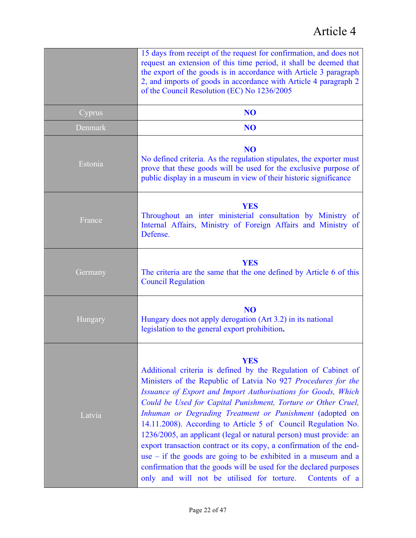# Article 4

|         | 15 days from receipt of the request for confirmation, and does not<br>request an extension of this time period, it shall be deemed that<br>the export of the goods is in accordance with Article 3 paragraph<br>2, and imports of goods in accordance with Article 4 paragraph 2<br>of the Council Resolution (EC) No 1236/2005                                                                                                                                                                                                                                                                                                                                                                                                                                    |
|---------|--------------------------------------------------------------------------------------------------------------------------------------------------------------------------------------------------------------------------------------------------------------------------------------------------------------------------------------------------------------------------------------------------------------------------------------------------------------------------------------------------------------------------------------------------------------------------------------------------------------------------------------------------------------------------------------------------------------------------------------------------------------------|
| Cyprus  | N <sub>O</sub>                                                                                                                                                                                                                                                                                                                                                                                                                                                                                                                                                                                                                                                                                                                                                     |
| Denmark | N <sub>O</sub>                                                                                                                                                                                                                                                                                                                                                                                                                                                                                                                                                                                                                                                                                                                                                     |
| Estonia | N <sub>O</sub><br>No defined criteria. As the regulation stipulates, the exporter must<br>prove that these goods will be used for the exclusive purpose of<br>public display in a museum in view of their historic significance                                                                                                                                                                                                                                                                                                                                                                                                                                                                                                                                    |
| France  | <b>YES</b><br>Throughout an inter ministerial consultation by Ministry of<br>Internal Affairs, Ministry of Foreign Affairs and Ministry of<br>Defense.                                                                                                                                                                                                                                                                                                                                                                                                                                                                                                                                                                                                             |
| Germany | <b>YES</b><br>The criteria are the same that the one defined by Article 6 of this<br><b>Council Regulation</b>                                                                                                                                                                                                                                                                                                                                                                                                                                                                                                                                                                                                                                                     |
| Hungary | N <sub>O</sub><br>Hungary does not apply derogation (Art 3.2) in its national<br>legislation to the general export prohibition.                                                                                                                                                                                                                                                                                                                                                                                                                                                                                                                                                                                                                                    |
| Latvia  | <b>YES</b><br>Additional criteria is defined by the Regulation of Cabinet of<br>Ministers of the Republic of Latvia No 927 Procedures for the<br>Issuance of Export and Import Authorisations for Goods, Which<br>Could be Used for Capital Punishment, Torture or Other Cruel,<br>Inhuman or Degrading Treatment or Punishment (adopted on<br>14.11.2008). According to Article 5 of Council Regulation No.<br>1236/2005, an applicant (legal or natural person) must provide: an<br>export transaction contract or its copy, a confirmation of the end-<br>$use - if the goods are going to be exhibited in a museum and a$<br>confirmation that the goods will be used for the declared purposes<br>only and will not be utilised for torture.<br>Contents of a |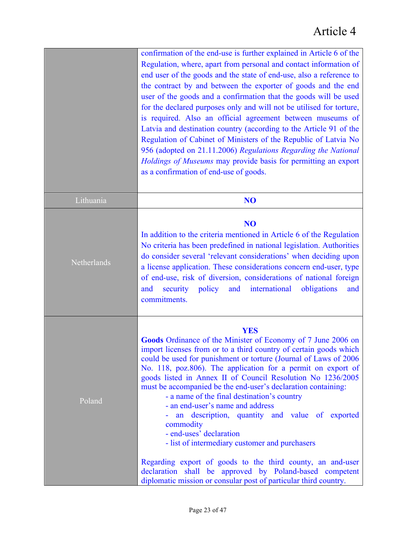| confirmation of the end-use is further explained in Article 6 of the<br>Regulation, where, apart from personal and contact information of<br>end user of the goods and the state of end-use, also a reference to<br>the contract by and between the exporter of goods and the end<br>user of the goods and a confirmation that the goods will be used<br>for the declared purposes only and will not be utilised for torture,<br>is required. Also an official agreement between museums of<br>Latvia and destination country (according to the Article 91 of the<br>Regulation of Cabinet of Ministers of the Republic of Latvia No<br>956 (adopted on 21.11.2006) Regulations Regarding the National<br>Holdings of Museums may provide basis for permitting an export<br>as a confirmation of end-use of goods. |
|--------------------------------------------------------------------------------------------------------------------------------------------------------------------------------------------------------------------------------------------------------------------------------------------------------------------------------------------------------------------------------------------------------------------------------------------------------------------------------------------------------------------------------------------------------------------------------------------------------------------------------------------------------------------------------------------------------------------------------------------------------------------------------------------------------------------|
| NO <sub>1</sub>                                                                                                                                                                                                                                                                                                                                                                                                                                                                                                                                                                                                                                                                                                                                                                                                    |
| N <sub>O</sub><br>In addition to the criteria mentioned in Article 6 of the Regulation<br>No criteria has been predefined in national legislation. Authorities<br>do consider several 'relevant considerations' when deciding upon<br>a license application. These considerations concern end-user, type<br>of end-use, risk of diversion, considerations of national foreign<br>security<br>policy<br>international<br>and<br>obligations<br>and<br>and<br>commitments.                                                                                                                                                                                                                                                                                                                                           |
| <b>YES</b><br>Goods Ordinance of the Minister of Economy of 7 June 2006 on<br>import licenses from or to a third country of certain goods which<br>could be used for punishment or torture (Journal of Laws of 2006)<br>No. 118, poz.806). The application for a permit on export of<br>goods listed in Annex II of Council Resolution No 1236/2005<br>must be accompanied be the end-user's declaration containing:<br>- a name of the final destination's country<br>- an end-user's name and address<br>an description, quantity and value of exported<br>commodity<br>- end-uses' declaration<br>- list of intermediary customer and purchasers<br>Regarding export of goods to the third county, an and-user<br>declaration shall be approved by Poland-based competent                                       |
|                                                                                                                                                                                                                                                                                                                                                                                                                                                                                                                                                                                                                                                                                                                                                                                                                    |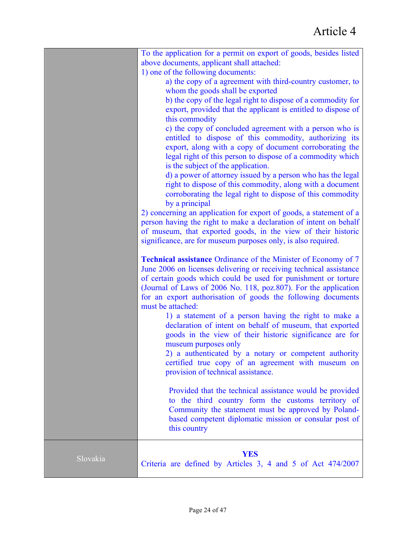|          | To the application for a permit on export of goods, besides listed<br>above documents, applicant shall attached:                                                                                                                                                                                                                                                                                                               |
|----------|--------------------------------------------------------------------------------------------------------------------------------------------------------------------------------------------------------------------------------------------------------------------------------------------------------------------------------------------------------------------------------------------------------------------------------|
|          | 1) one of the following documents:<br>a) the copy of a agreement with third-country customer, to<br>whom the goods shall be exported                                                                                                                                                                                                                                                                                           |
|          | b) the copy of the legal right to dispose of a commodity for<br>export, provided that the applicant is entitled to dispose of                                                                                                                                                                                                                                                                                                  |
|          | this commodity<br>c) the copy of concluded agreement with a person who is<br>entitled to dispose of this commodity, authorizing its<br>export, along with a copy of document corroborating the<br>legal right of this person to dispose of a commodity which<br>is the subject of the application.<br>d) a power of attorney issued by a person who has the legal<br>right to dispose of this commodity, along with a document |
|          | corroborating the legal right to dispose of this commodity<br>by a principal                                                                                                                                                                                                                                                                                                                                                   |
|          | 2) concerning an application for export of goods, a statement of a<br>person having the right to make a declaration of intent on behalf<br>of museum, that exported goods, in the view of their historic<br>significance, are for museum purposes only, is also required.                                                                                                                                                      |
|          | <b>Technical assistance</b> Ordinance of the Minister of Economy of 7<br>June 2006 on licenses delivering or receiving technical assistance<br>of certain goods which could be used for punishment or torture<br>(Journal of Laws of 2006 No. 118, poz.807). For the application<br>for an export authorisation of goods the following documents<br>must be attached:                                                          |
|          | 1) a statement of a person having the right to make a<br>declaration of intent on behalf of museum, that exported<br>goods in the view of their historic significance are for<br>museum purposes only                                                                                                                                                                                                                          |
|          | 2) a authenticated by a notary or competent authority<br>certified true copy of an agreement with museum on<br>provision of technical assistance.                                                                                                                                                                                                                                                                              |
|          | Provided that the technical assistance would be provided<br>to the third country form the customs territory of<br>Community the statement must be approved by Poland-<br>based competent diplomatic mission or consular post of<br>this country                                                                                                                                                                                |
| Slovakia | <b>YES</b><br>Criteria are defined by Articles 3, 4 and 5 of Act 474/2007                                                                                                                                                                                                                                                                                                                                                      |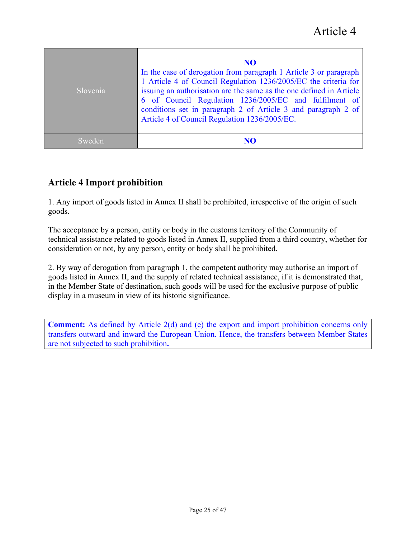| Slovenia | NO <sub>1</sub><br>In the case of derogation from paragraph 1 Article 3 or paragraph<br>1 Article 4 of Council Regulation 1236/2005/EC the criteria for<br>issuing an authorisation are the same as the one defined in Article<br>6 of Council Regulation 1236/2005/EC and fulfilment of<br>conditions set in paragraph 2 of Article 3 and paragraph 2 of<br>Article 4 of Council Regulation 1236/2005/EC. |
|----------|------------------------------------------------------------------------------------------------------------------------------------------------------------------------------------------------------------------------------------------------------------------------------------------------------------------------------------------------------------------------------------------------------------|
| Sweden   | NO                                                                                                                                                                                                                                                                                                                                                                                                         |

# **Article 4 Import prohibition**

1. Any import of goods listed in Annex II shall be prohibited, irrespective of the origin of such goods.

The acceptance by a person, entity or body in the customs territory of the Community of technical assistance related to goods listed in Annex II, supplied from a third country, whether for consideration or not, by any person, entity or body shall be prohibited.

2. By way of derogation from paragraph 1, the competent authority may authorise an import of goods listed in Annex II, and the supply of related technical assistance, if it is demonstrated that, in the Member State of destination, such goods will be used for the exclusive purpose of public display in a museum in view of its historic significance.

**Comment:** As defined by Article 2(d) and (e) the export and import prohibition concerns only transfers outward and inward the European Union. Hence, the transfers between Member States are not subjected to such prohibition**.**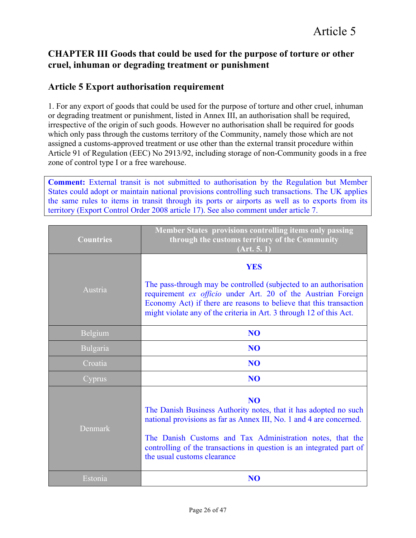## **CHAPTER III Goods that could be used for the purpose of torture or other cruel, inhuman or degrading treatment or punishment**

## **Article 5 Export authorisation requirement**

1. For any export of goods that could be used for the purpose of torture and other cruel, inhuman or degrading treatment or punishment, listed in Annex III, an authorisation shall be required, irrespective of the origin of such goods. However no authorisation shall be required for goods which only pass through the customs territory of the Community, namely those which are not assigned a customs-approved treatment or use other than the external transit procedure within Article 91 of Regulation (EEC) No 2913/92, including storage of non-Community goods in a free zone of control type I or a free warehouse.

**Comment:** External transit is not submitted to authorisation by the Regulation but Member States could adopt or maintain national provisions controlling such transactions. The UK applies the same rules to items in transit through its ports or airports as well as to exports from its territory (Export Control Order 2008 article 17). See also comment under article 7.

| <b>Countries</b> | Member States provisions controlling items only passing<br>through the customs territory of the Community<br>(Art. 5.1)                                                                                                                                                                                                       |
|------------------|-------------------------------------------------------------------------------------------------------------------------------------------------------------------------------------------------------------------------------------------------------------------------------------------------------------------------------|
|                  | <b>YES</b>                                                                                                                                                                                                                                                                                                                    |
| Austria          | The pass-through may be controlled (subjected to an authorisation<br>requirement ex officio under Art. 20 of the Austrian Foreign<br>Economy Act) if there are reasons to believe that this transaction<br>might violate any of the criteria in Art. 3 through 12 of this Act.                                                |
| Belgium          | N <sub>O</sub>                                                                                                                                                                                                                                                                                                                |
| <b>Bulgaria</b>  | N <sub>O</sub>                                                                                                                                                                                                                                                                                                                |
| Croatia          | N <sub>O</sub>                                                                                                                                                                                                                                                                                                                |
| Cyprus           | N <sub>O</sub>                                                                                                                                                                                                                                                                                                                |
| Denmark          | N <sub>O</sub><br>The Danish Business Authority notes, that it has adopted no such<br>national provisions as far as Annex III, No. 1 and 4 are concerned.<br>The Danish Customs and Tax Administration notes, that the<br>controlling of the transactions in question is an integrated part of<br>the usual customs clearance |
| Estonia          | N <sub>O</sub>                                                                                                                                                                                                                                                                                                                |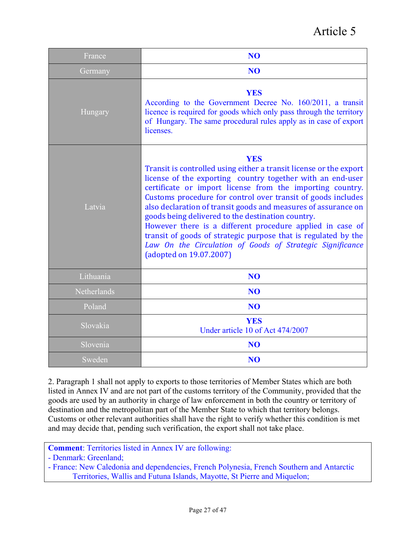# Article 5

| France      | N <sub>O</sub>                                                                                                                                                                                                                                                                                                                                                                                                                                                                                                                                                                                                            |
|-------------|---------------------------------------------------------------------------------------------------------------------------------------------------------------------------------------------------------------------------------------------------------------------------------------------------------------------------------------------------------------------------------------------------------------------------------------------------------------------------------------------------------------------------------------------------------------------------------------------------------------------------|
| Germany     | N <sub>O</sub>                                                                                                                                                                                                                                                                                                                                                                                                                                                                                                                                                                                                            |
| Hungary     | <b>YES</b><br>According to the Government Decree No. 160/2011, a transit<br>licence is required for goods which only pass through the territory<br>of Hungary. The same procedural rules apply as in case of export<br>licenses.                                                                                                                                                                                                                                                                                                                                                                                          |
| Latvia      | <b>YES</b><br>Transit is controlled using either a transit license or the export<br>license of the exporting country together with an end-user<br>certificate or import license from the importing country.<br>Customs procedure for control over transit of goods includes<br>also declaration of transit goods and measures of assurance on<br>goods being delivered to the destination country.<br>However there is a different procedure applied in case of<br>transit of goods of strategic purpose that is regulated by the<br>Law On the Circulation of Goods of Strategic Significance<br>(adopted on 19.07.2007) |
| Lithuania   | N <sub>O</sub>                                                                                                                                                                                                                                                                                                                                                                                                                                                                                                                                                                                                            |
| Netherlands | N <sub>O</sub>                                                                                                                                                                                                                                                                                                                                                                                                                                                                                                                                                                                                            |
| Poland      | N <sub>O</sub>                                                                                                                                                                                                                                                                                                                                                                                                                                                                                                                                                                                                            |
| Slovakia    | <b>YES</b><br>Under article 10 of Act 474/2007                                                                                                                                                                                                                                                                                                                                                                                                                                                                                                                                                                            |
| Slovenia    | NO <sub>1</sub>                                                                                                                                                                                                                                                                                                                                                                                                                                                                                                                                                                                                           |
| Sweden      | N <sub>O</sub>                                                                                                                                                                                                                                                                                                                                                                                                                                                                                                                                                                                                            |

2. Paragraph 1 shall not apply to exports to those territories of Member States which are both listed in Annex IV and are not part of the customs territory of the Community, provided that the goods are used by an authority in charge of law enforcement in both the country or territory of destination and the metropolitan part of the Member State to which that territory belongs. Customs or other relevant authorities shall have the right to verify whether this condition is met and may decide that, pending such verification, the export shall not take place.

**Comment**: Territories listed in Annex IV are following:

- Denmark: Greenland;

- France: New Caledonia and dependencies, French Polynesia, French Southern and Antarctic Territories, Wallis and Futuna Islands, Mayotte, St Pierre and Miquelon;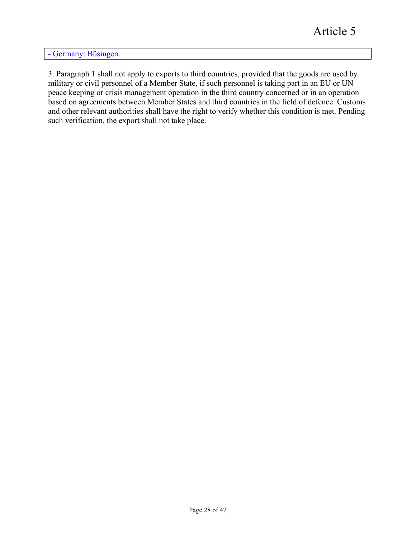- Germany: Büsingen.

3. Paragraph 1 shall not apply to exports to third countries, provided that the goods are used by military or civil personnel of a Member State, if such personnel is taking part in an EU or UN peace keeping or crisis management operation in the third country concerned or in an operation based on agreements between Member States and third countries in the field of defence. Customs and other relevant authorities shall have the right to verify whether this condition is met. Pending such verification, the export shall not take place.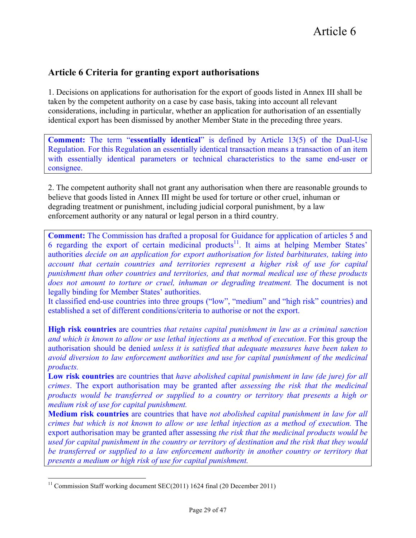## **Article 6 Criteria for granting export authorisations**

1. Decisions on applications for authorisation for the export of goods listed in Annex III shall be taken by the competent authority on a case by case basis, taking into account all relevant considerations, including in particular, whether an application for authorisation of an essentially identical export has been dismissed by another Member State in the preceding three years.

**Comment:** The term "**essentially identical**" is defined by Article 13(5) of the Dual-Use Regulation. For this Regulation an essentially identical transaction means a transaction of an item with essentially identical parameters or technical characteristics to the same end-user or consignee.

2. The competent authority shall not grant any authorisation when there are reasonable grounds to believe that goods listed in Annex III might be used for torture or other cruel, inhuman or degrading treatment or punishment, including judicial corporal punishment, by a law enforcement authority or any natural or legal person in a third country.

**Comment:** The Commission has drafted a proposal for Guidance for application of articles 5 and 6 regarding the export of certain medicinal products<sup>11</sup>. It aims at helping Member States' authorities *decide on an application for export authorisation for listed barbiturates, taking into account that certain countries and territories represent a higher risk of use for capital punishment than other countries and territories, and that normal medical use of these products does not amount to torture or cruel, inhuman or degrading treatment.* The document is not legally binding for Member States' authorities.

It classified end-use countries into three groups ("low", "medium" and "high risk" countries) and established a set of different conditions/criteria to authorise or not the export.

**High risk countries** are countries *that retains capital punishment in law as a criminal sanction and which is known to allow or use lethal injections as a method of execution*. For this group the authorisation should be denied *unless it is satisfied that adequate measures have been taken to avoid diversion to law enforcement authorities and use for capital punishment of the medicinal products.*

**Low risk countries** are countries that *have abolished capital punishment in law (de jure) for all crimes*. The export authorisation may be granted after *assessing the risk that the medicinal products would be transferred or supplied to a country or territory that presents a high or medium risk of use for capital punishment.*

**Medium risk countries** are countries that have *not abolished capital punishment in law for all crimes but which is not known to allow or use lethal injection as a method of execution.* The export authorisation may be granted after assessing *the risk that the medicinal products would be used for capital punishment in the country or territory of destination and the risk that they would be transferred or supplied to a law enforcement authority in another country or territory that presents a medium or high risk of use for capital punishment.*

<sup>&</sup>lt;sup>11</sup> Commission Staff working document SEC(2011) 1624 final (20 December 2011)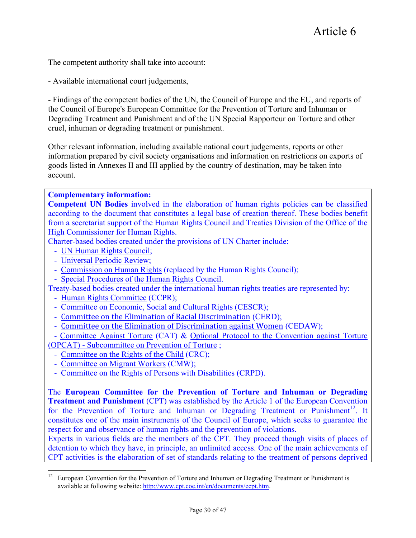The competent authority shall take into account:

- Available international court judgements,

- Findings of the competent bodies of the UN, the Council of Europe and the EU, and reports of the Council of Europe's European Committee for the Prevention of Torture and Inhuman or Degrading Treatment and Punishment and of the UN Special Rapporteur on Torture and other cruel, inhuman or degrading treatment or punishment.

Other relevant information, including available national court judgements, reports or other information prepared by civil society organisations and information on restrictions on exports of goods listed in Annexes II and III applied by the country of destination, may be taken into account.

#### **Complementary information:**

**Competent UN Bodies** involved in the elaboration of human rights policies can be classified according to the document that constitutes a legal base of creation thereof. These bodies benefit from a secretariat support of the Human Rights Council and Treaties Division of the Office of the High Commissioner for Human Rights.

Charter-based bodies created under the provisions of UN Charter include:

- UN Human Rights Council;
- Universal Periodic Review;
- Commission on Human Rights (replaced by the Human Rights Council);
- Special Procedures of the Human Rights Council.
- Treaty-based bodies created under the international human rights treaties are represented by:
	- Human Rights Committee (CCPR);
	- Committee on Economic, Social and Cultural Rights (CESCR);
	- Committee on the Elimination of Racial Discrimination (CERD);
	- Committee on the Elimination of Discrimination against Women (CEDAW);
- Committee Against Torture (CAT) & Optional Protocol to the Convention against Torture
- (OPCAT) Subcommittee on Prevention of Torture ;
	- Committee on the Rights of the Child (CRC);
	- Committee on Migrant Workers (CMW);
	- Committee on the Rights of Persons with Disabilities (CRPD).

The **European Committee for the Prevention of Torture and Inhuman or Degrading Treatment and Punishment** (CPT) was established by the Article 1 of the European Convention for the Prevention of Torture and Inhuman or Degrading Treatment or Punishment<sup>12</sup>. It constitutes one of the main instruments of the Council of Europe, which seeks to guarantee the respect for and observance of human rights and the prevention of violations.

Experts in various fields are the members of the CPT. They proceed though visits of places of detention to which they have, in principle, an unlimited access. One of the main achievements of CPT activities is the elaboration of set of standards relating to the treatment of persons deprived

<sup>&</sup>lt;sup>12</sup> European Convention for the Prevention of Torture and Inhuman or Degrading Treatment or Punishment is available at following website: http://www.cpt.coe.int/en/documents/ecpt.htm.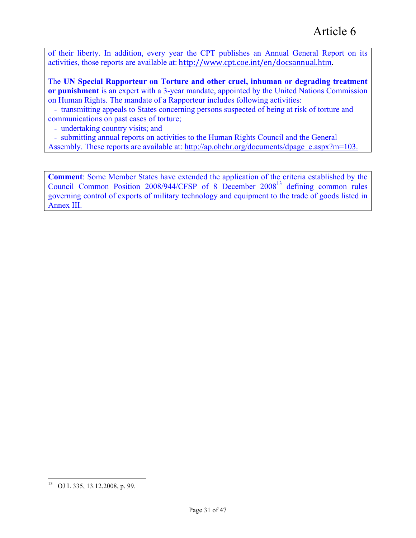of their liberty. In addition, every year the CPT publishes an Annual General Report on its activities, those reports are available at: http://www.cpt.coe.int/en/docsannual.htm. 

The **UN Special Rapporteur on Torture and other cruel, inhuman or degrading treatment or punishment** is an expert with a 3-year mandate, appointed by the United Nations Commission on Human Rights. The mandate of a Rapporteur includes following activities:

 - transmitting appeals to States concerning persons suspected of being at risk of torture and communications on past cases of torture;

- undertaking country visits; and

 - submitting annual reports on activities to the Human Rights Council and the General Assembly. These reports are available at: http://ap.ohchr.org/documents/dpage\_e.aspx?m=103.

**Comment**: Some Member States have extended the application of the criteria established by the Council Common Position 2008/944/CFSP of 8 December 2008<sup>13</sup> defining common rules governing control of exports of military technology and equipment to the trade of goods listed in Annex III.

 <sup>13</sup> OJ L 335, 13.12.2008, p. 99.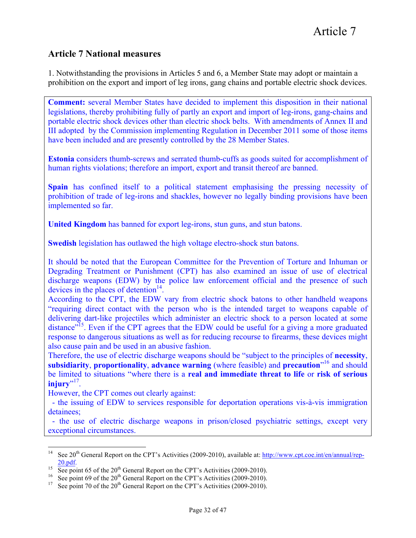## **Article 7 National measures**

1. Notwithstanding the provisions in Articles 5 and 6, a Member State may adopt or maintain a prohibition on the export and import of leg irons, gang chains and portable electric shock devices.

**Comment:** several Member States have decided to implement this disposition in their national legislations, thereby prohibiting fully of partly an export and import of leg-irons, gang-chains and portable electric shock devices other than electric shock belts. With amendments of Annex II and III adopted by the Commission implementing Regulation in December 2011 some of those items have been included and are presently controlled by the 28 Member States.

**Estonia** considers thumb-screws and serrated thumb-cuffs as goods suited for accomplishment of human rights violations; therefore an import, export and transit thereof are banned.

**Spain** has confined itself to a political statement emphasising the pressing necessity of prohibition of trade of leg-irons and shackles, however no legally binding provisions have been implemented so far.

**United Kingdom** has banned for export leg-irons, stun guns, and stun batons.

**Swedish** legislation has outlawed the high voltage electro-shock stun batons.

It should be noted that the European Committee for the Prevention of Torture and Inhuman or Degrading Treatment or Punishment (CPT) has also examined an issue of use of electrical discharge weapons (EDW) by the police law enforcement official and the presence of such devices in the places of detention $14$ .

According to the CPT, the EDW vary from electric shock batons to other handheld weapons "requiring direct contact with the person who is the intended target to weapons capable of delivering dart-like projectiles which administer an electric shock to a person located at some distance"<sup>15</sup>. Even if the CPT agrees that the EDW could be useful for a giving a more graduated response to dangerous situations as well as for reducing recourse to firearms, these devices might also cause pain and be used in an abusive fashion.

Therefore, the use of electric discharge weapons should be "subject to the principles of **necessity**, **subsidiarity**, **proportionality**, **advance warning** (where feasible) and **precaution**" <sup>16</sup> and should be limited to situations "where there is a **real and immediate threat to life** or **risk of serious injury**"<sup>17</sup>.

However, the CPT comes out clearly against:

 - the issuing of EDW to services responsible for deportation operations vis-à-vis immigration detainees;

 - the use of electric discharge weapons in prison/closed psychiatric settings, except very exceptional circumstances.

<sup>&</sup>lt;sup>14</sup> See 20<sup>th</sup> General Report on the CPT's Activities (2009-2010), available at: http://www.cpt.coe.int/en/annual/rep-

<sup>&</sup>lt;sup>15</sup> See point 65 of the 20<sup>th</sup> General Report on the CPT's Activities (2009-2010).<br><sup>16</sup> See point 69 of the 20<sup>th</sup> General Report on the CPT's Activities (2009-2010).<br><sup>17</sup> See point 70 of the 20<sup>th</sup> General Report on the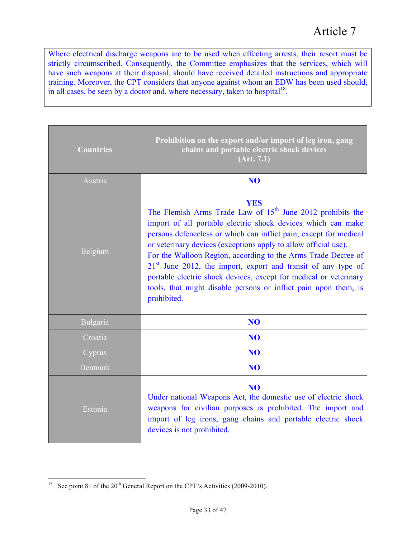# Article 7

Where electrical discharge weapons are to be used when effecting arrests, their resort must be strictly circumscribed. Consequently, the Committee emphasizes that the services, which will have such weapons at their disposal, should have received detailed instructions and appropriate training. Moreover, the CPT considers that anyone against whom an EDW has been used should, in all cases, be seen by a doctor and, where necessary, taken to hospital $1^8$ .

| <b>Countries</b> | Prohibition on the export and/or import of leg iron, gang<br>chains and portable electric shock devices<br>(Art. 7.1)                                                                                                                                                                                                                                                                                                                                                                                                                                                                             |
|------------------|---------------------------------------------------------------------------------------------------------------------------------------------------------------------------------------------------------------------------------------------------------------------------------------------------------------------------------------------------------------------------------------------------------------------------------------------------------------------------------------------------------------------------------------------------------------------------------------------------|
| Austria          | N <sub>O</sub>                                                                                                                                                                                                                                                                                                                                                                                                                                                                                                                                                                                    |
| Belgium          | <b>YES</b><br>The Flemish Arms Trade Law of 15 <sup>th</sup> June 2012 prohibits the<br>import of all portable electric shock devices which can make<br>persons defenceless or which can inflict pain, except for medical<br>or veterinary devices (exceptions apply to allow official use).<br>For the Walloon Region, according to the Arms Trade Decree of<br>21 <sup>st</sup> June 2012, the import, export and transit of any type of<br>portable electric shock devices, except for medical or veterinary<br>tools, that might disable persons or inflict pain upon them, is<br>prohibited. |
| Bulgaria         | N <sub>O</sub>                                                                                                                                                                                                                                                                                                                                                                                                                                                                                                                                                                                    |
| Croatia          | N <sub>O</sub>                                                                                                                                                                                                                                                                                                                                                                                                                                                                                                                                                                                    |
| Cyprus           | N <sub>O</sub>                                                                                                                                                                                                                                                                                                                                                                                                                                                                                                                                                                                    |
| Denmark          | NO <sub>1</sub>                                                                                                                                                                                                                                                                                                                                                                                                                                                                                                                                                                                   |
| Estonia          | N <sub>O</sub><br>Under national Weapons Act, the domestic use of electric shock<br>weapons for civilian purposes is prohibited. The import and<br>import of leg irons, gang chains and portable electric shock<br>devices is not prohibited.                                                                                                                                                                                                                                                                                                                                                     |

<sup>&</sup>lt;sup>18</sup> See point 81 of the  $20<sup>th</sup>$  General Report on the CPT's Activities (2009-2010).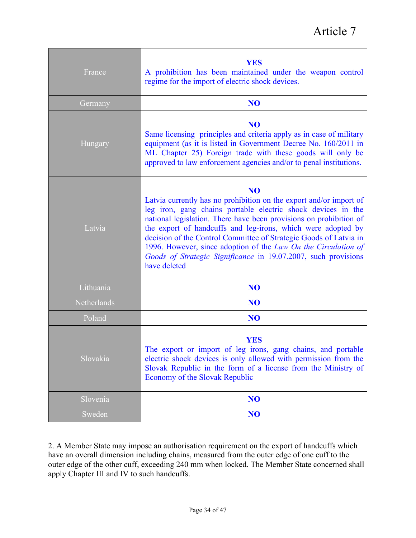| France      | <b>YES</b><br>A prohibition has been maintained under the weapon control<br>regime for the import of electric shock devices.                                                                                                                                                                                                                                                                                                                                                                                        |
|-------------|---------------------------------------------------------------------------------------------------------------------------------------------------------------------------------------------------------------------------------------------------------------------------------------------------------------------------------------------------------------------------------------------------------------------------------------------------------------------------------------------------------------------|
| Germany     | N <sub>O</sub>                                                                                                                                                                                                                                                                                                                                                                                                                                                                                                      |
| Hungary     | N <sub>O</sub><br>Same licensing principles and criteria apply as in case of military<br>equipment (as it is listed in Government Decree No. 160/2011 in<br>ML Chapter 25) Foreign trade with these goods will only be<br>approved to law enforcement agencies and/or to penal institutions.                                                                                                                                                                                                                        |
| Latvia      | N <sub>O</sub><br>Latvia currently has no prohibition on the export and/or import of<br>leg iron, gang chains portable electric shock devices in the<br>national legislation. There have been provisions on prohibition of<br>the export of handcuffs and leg-irons, which were adopted by<br>decision of the Control Committee of Strategic Goods of Latvia in<br>1996. However, since adoption of the Law On the Circulation of<br>Goods of Strategic Significance in 19.07.2007, such provisions<br>have deleted |
| Lithuania   | NO <sub>1</sub>                                                                                                                                                                                                                                                                                                                                                                                                                                                                                                     |
| Netherlands | NO <sub>1</sub>                                                                                                                                                                                                                                                                                                                                                                                                                                                                                                     |
| Poland      | NO <sub>1</sub>                                                                                                                                                                                                                                                                                                                                                                                                                                                                                                     |
| Slovakia    | <b>YES</b><br>The export or import of leg irons, gang chains, and portable<br>electric shock devices is only allowed with permission from the<br>Slovak Republic in the form of a license from the Ministry of<br>Economy of the Slovak Republic                                                                                                                                                                                                                                                                    |
| Slovenia    | N <sub>O</sub>                                                                                                                                                                                                                                                                                                                                                                                                                                                                                                      |
| Sweden      | NO <sub>1</sub>                                                                                                                                                                                                                                                                                                                                                                                                                                                                                                     |

2. A Member State may impose an authorisation requirement on the export of handcuffs which have an overall dimension including chains, measured from the outer edge of one cuff to the outer edge of the other cuff, exceeding 240 mm when locked. The Member State concerned shall apply Chapter III and IV to such handcuffs.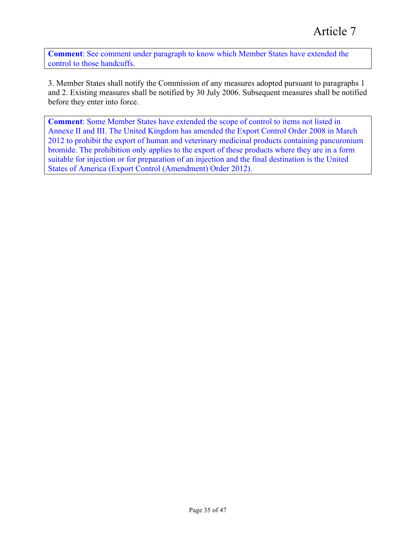**Comment**: See comment under paragraph to know which Member States have extended the control to those handcuffs.

3. Member States shall notify the Commission of any measures adopted pursuant to paragraphs 1 and 2. Existing measures shall be notified by 30 July 2006. Subsequent measures shall be notified before they enter into force.

**Comment**: Some Member States have extended the scope of control to items not listed in Annexe II and III. The United Kingdom has amended the Export Control Order 2008 in March 2012 to prohibit the export of human and veterinary medicinal products containing pancuronium bromide. The prohibition only applies to the export of these products where they are in a form suitable for injection or for preparation of an injection and the final destination is the United States of America (Export Control (Amendment) Order 2012).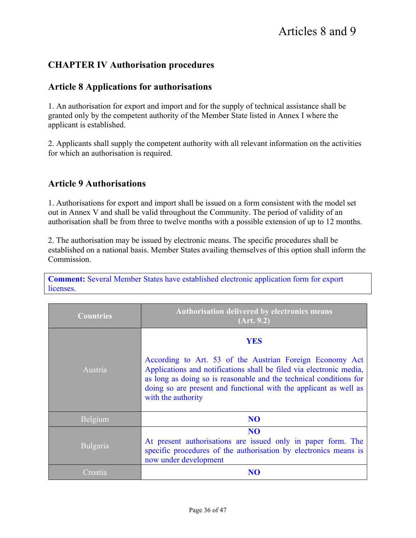## **CHAPTER IV Authorisation procedures**

## **Article 8 Applications for authorisations**

1. An authorisation for export and import and for the supply of technical assistance shall be granted only by the competent authority of the Member State listed in Annex I where the applicant is established.

2. Applicants shall supply the competent authority with all relevant information on the activities for which an authorisation is required.

## **Article 9 Authorisations**

1. Authorisations for export and import shall be issued on a form consistent with the model set out in Annex V and shall be valid throughout the Community. The period of validity of an authorisation shall be from three to twelve months with a possible extension of up to 12 months.

2. The authorisation may be issued by electronic means. The specific procedures shall be established on a national basis. Member States availing themselves of this option shall inform the **Commission** 

**Comment:** Several Member States have established electronic application form for export licenses.

| <b>Countries</b> | Authorisation delivered by electronics means<br>(Art. 9.2)                                                                                                                                                                                                                                                     |
|------------------|----------------------------------------------------------------------------------------------------------------------------------------------------------------------------------------------------------------------------------------------------------------------------------------------------------------|
| Austria          | <b>YES</b><br>According to Art. 53 of the Austrian Foreign Economy Act<br>Applications and notifications shall be filed via electronic media,<br>as long as doing so is reasonable and the technical conditions for<br>doing so are present and functional with the applicant as well as<br>with the authority |
| Belgium          | N <sub>O</sub>                                                                                                                                                                                                                                                                                                 |
| Bulgaria         | NO <sub>1</sub><br>At present authorisations are issued only in paper form. The<br>specific procedures of the authorisation by electronics means is<br>now under development                                                                                                                                   |
| Croatia          | NO                                                                                                                                                                                                                                                                                                             |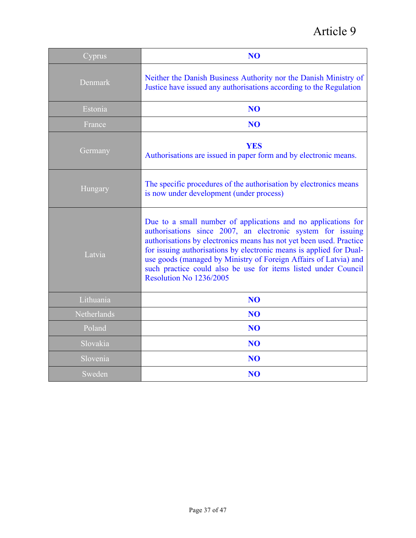# Article 9

| Cyprus      | N <sub>O</sub>                                                                                                                                                                                                                                                                                                                                                                                                                              |
|-------------|---------------------------------------------------------------------------------------------------------------------------------------------------------------------------------------------------------------------------------------------------------------------------------------------------------------------------------------------------------------------------------------------------------------------------------------------|
| Denmark     | Neither the Danish Business Authority nor the Danish Ministry of<br>Justice have issued any authorisations according to the Regulation                                                                                                                                                                                                                                                                                                      |
| Estonia     | N <sub>O</sub>                                                                                                                                                                                                                                                                                                                                                                                                                              |
| France      | N <sub>O</sub>                                                                                                                                                                                                                                                                                                                                                                                                                              |
| Germany     | <b>YES</b><br>Authorisations are issued in paper form and by electronic means.                                                                                                                                                                                                                                                                                                                                                              |
| Hungary     | The specific procedures of the authorisation by electronics means<br>is now under development (under process)                                                                                                                                                                                                                                                                                                                               |
| Latvia      | Due to a small number of applications and no applications for<br>authorisations since 2007, an electronic system for issuing<br>authorisations by electronics means has not yet been used. Practice<br>for issuing authorisations by electronic means is applied for Dual-<br>use goods (managed by Ministry of Foreign Affairs of Latvia) and<br>such practice could also be use for items listed under Council<br>Resolution No 1236/2005 |
| Lithuania   | N <sub>O</sub>                                                                                                                                                                                                                                                                                                                                                                                                                              |
| Netherlands | N <sub>O</sub>                                                                                                                                                                                                                                                                                                                                                                                                                              |
| Poland      | N <sub>O</sub>                                                                                                                                                                                                                                                                                                                                                                                                                              |
| Slovakia    | N <sub>O</sub>                                                                                                                                                                                                                                                                                                                                                                                                                              |
| Slovenia    | N <sub>O</sub>                                                                                                                                                                                                                                                                                                                                                                                                                              |
| Sweden      | N <sub>O</sub>                                                                                                                                                                                                                                                                                                                                                                                                                              |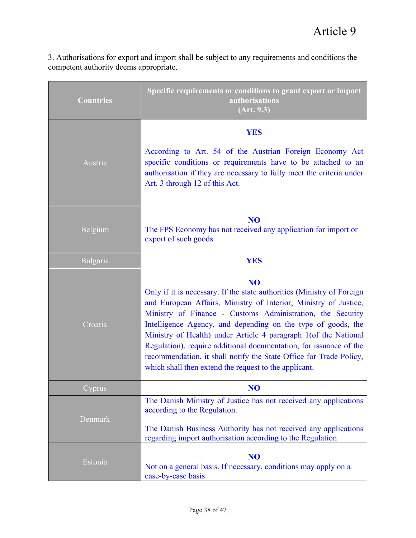3. Authorisations for export and import shall be subject to any requirements and conditions the competent authority deems appropriate.

| <b>Countries</b> | Specific requirements or conditions to grant export or import<br>authorisations<br>(Art. 9.3)                                                                                                                                                                                                                                                                                                                                                                                                                                                                      |
|------------------|--------------------------------------------------------------------------------------------------------------------------------------------------------------------------------------------------------------------------------------------------------------------------------------------------------------------------------------------------------------------------------------------------------------------------------------------------------------------------------------------------------------------------------------------------------------------|
|                  | <b>YES</b>                                                                                                                                                                                                                                                                                                                                                                                                                                                                                                                                                         |
| Austria          | According to Art. 54 of the Austrian Foreign Economy Act<br>specific conditions or requirements have to be attached to an<br>authorisation if they are necessary to fully meet the criteria under<br>Art. 3 through 12 of this Act.                                                                                                                                                                                                                                                                                                                                |
| Belgium          | N <sub>O</sub><br>The FPS Economy has not received any application for import or<br>export of such goods                                                                                                                                                                                                                                                                                                                                                                                                                                                           |
| <b>Bulgaria</b>  | <b>YES</b>                                                                                                                                                                                                                                                                                                                                                                                                                                                                                                                                                         |
| Croatia          | N <sub>O</sub><br>Only if it is necessary. If the state authorities (Ministry of Foreign<br>and European Affairs, Ministry of Interior, Ministry of Justice,<br>Ministry of Finance - Customs Administration, the Security<br>Intelligence Agency, and depending on the type of goods, the<br>Ministry of Health) under Article 4 paragraph 1(of the National<br>Regulation), require additional documentation, for issuance of the<br>recommendation, it shall notify the State Office for Trade Policy,<br>which shall then extend the request to the applicant. |
| Cyprus           | NO                                                                                                                                                                                                                                                                                                                                                                                                                                                                                                                                                                 |
| Denmark          | The Danish Ministry of Justice has not received any applications<br>according to the Regulation.<br>The Danish Business Authority has not received any applications                                                                                                                                                                                                                                                                                                                                                                                                |
| Estonia          | regarding import authorisation according to the Regulation<br>N <sub>O</sub><br>Not on a general basis. If necessary, conditions may apply on a<br>case-by-case basis                                                                                                                                                                                                                                                                                                                                                                                              |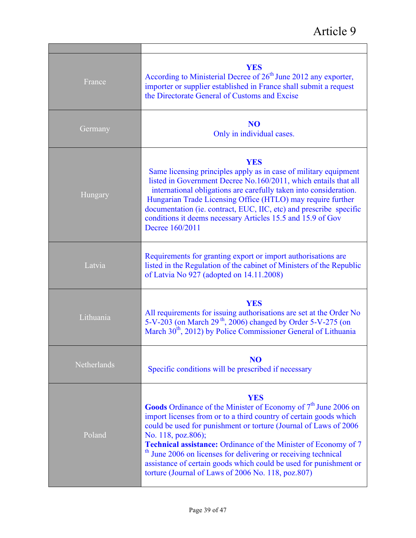# Article 9

٦

| France      | <b>YES</b><br>According to Ministerial Decree of 26 <sup>th</sup> June 2012 any exporter,<br>importer or supplier established in France shall submit a request<br>the Directorate General of Customs and Excise                                                                                                                                                                                                                                                                                                                         |
|-------------|-----------------------------------------------------------------------------------------------------------------------------------------------------------------------------------------------------------------------------------------------------------------------------------------------------------------------------------------------------------------------------------------------------------------------------------------------------------------------------------------------------------------------------------------|
| Germany     | N <sub>O</sub><br>Only in individual cases.                                                                                                                                                                                                                                                                                                                                                                                                                                                                                             |
| Hungary     | <b>YES</b><br>Same licensing principles apply as in case of military equipment<br>listed in Government Decree No.160/2011, which entails that all<br>international obligations are carefully taken into consideration.<br>Hungarian Trade Licensing Office (HTLO) may require further<br>documentation (ie. contract, EUC, IIC, etc) and prescribe specific<br>conditions it deems necessary Articles 15.5 and 15.9 of Gov<br>Decree 160/2011                                                                                           |
| Latvia      | Requirements for granting export or import authorisations are<br>listed in the Regulation of the cabinet of Ministers of the Republic<br>of Latvia No 927 (adopted on 14.11.2008)                                                                                                                                                                                                                                                                                                                                                       |
| Lithuania   | <b>YES</b><br>All requirements for issuing authorisations are set at the Order No<br>5-V-203 (on March $29^{th}$ , 2006) changed by Order 5-V-275 (on<br>March 30 <sup>th</sup> , 2012) by Police Commissioner General of Lithuania                                                                                                                                                                                                                                                                                                     |
| Netherlands | N <sub>O</sub><br>Specific conditions will be prescribed if necessary                                                                                                                                                                                                                                                                                                                                                                                                                                                                   |
| Poland      | <b>YES</b><br><b>Goods</b> Ordinance of the Minister of Economy of $7th$ June 2006 on<br>import licenses from or to a third country of certain goods which<br>could be used for punishment or torture (Journal of Laws of 2006)<br>No. 118, poz.806);<br><b>Technical assistance:</b> Ordinance of the Minister of Economy of 7<br><sup>th</sup> June 2006 on licenses for delivering or receiving technical<br>assistance of certain goods which could be used for punishment or<br>torture (Journal of Laws of 2006 No. 118, poz.807) |

m.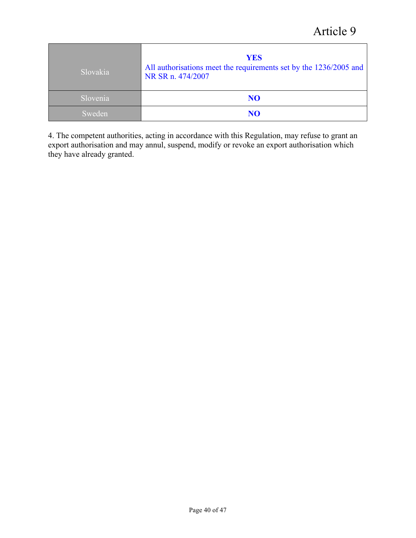# Article 9

| Slovakia | <b>YES</b><br>All authorisations meet the requirements set by the 1236/2005 and<br>NR SR n. 474/2007 |
|----------|------------------------------------------------------------------------------------------------------|
| Slovenia | N <sub>O</sub>                                                                                       |
| Sweden   | NO                                                                                                   |

4. The competent authorities, acting in accordance with this Regulation, may refuse to grant an export authorisation and may annul, suspend, modify or revoke an export authorisation which they have already granted.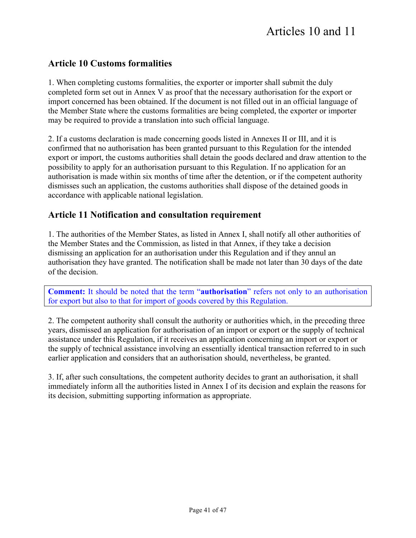## **Article 10 Customs formalities**

1. When completing customs formalities, the exporter or importer shall submit the duly completed form set out in Annex V as proof that the necessary authorisation for the export or import concerned has been obtained. If the document is not filled out in an official language of the Member State where the customs formalities are being completed, the exporter or importer may be required to provide a translation into such official language.

2. If a customs declaration is made concerning goods listed in Annexes II or III, and it is confirmed that no authorisation has been granted pursuant to this Regulation for the intended export or import, the customs authorities shall detain the goods declared and draw attention to the possibility to apply for an authorisation pursuant to this Regulation. If no application for an authorisation is made within six months of time after the detention, or if the competent authority dismisses such an application, the customs authorities shall dispose of the detained goods in accordance with applicable national legislation.

## **Article 11 Notification and consultation requirement**

1. The authorities of the Member States, as listed in Annex I, shall notify all other authorities of the Member States and the Commission, as listed in that Annex, if they take a decision dismissing an application for an authorisation under this Regulation and if they annul an authorisation they have granted. The notification shall be made not later than 30 days of the date of the decision.

**Comment:** It should be noted that the term "**authorisation**" refers not only to an authorisation for export but also to that for import of goods covered by this Regulation.

2. The competent authority shall consult the authority or authorities which, in the preceding three years, dismissed an application for authorisation of an import or export or the supply of technical assistance under this Regulation, if it receives an application concerning an import or export or the supply of technical assistance involving an essentially identical transaction referred to in such earlier application and considers that an authorisation should, nevertheless, be granted.

3. If, after such consultations, the competent authority decides to grant an authorisation, it shall immediately inform all the authorities listed in Annex I of its decision and explain the reasons for its decision, submitting supporting information as appropriate.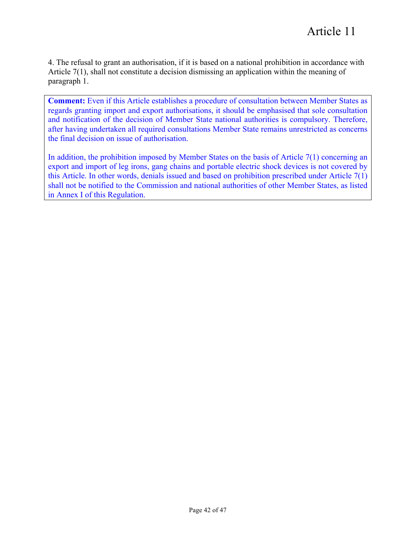4. The refusal to grant an authorisation, if it is based on a national prohibition in accordance with Article 7(1), shall not constitute a decision dismissing an application within the meaning of paragraph 1.

**Comment:** Even if this Article establishes a procedure of consultation between Member States as regards granting import and export authorisations, it should be emphasised that sole consultation and notification of the decision of Member State national authorities is compulsory. Therefore, after having undertaken all required consultations Member State remains unrestricted as concerns the final decision on issue of authorisation.

In addition, the prohibition imposed by Member States on the basis of Article 7(1) concerning an export and import of leg irons, gang chains and portable electric shock devices is not covered by this Article. In other words, denials issued and based on prohibition prescribed under Article 7(1) shall not be notified to the Commission and national authorities of other Member States, as listed in Annex I of this Regulation.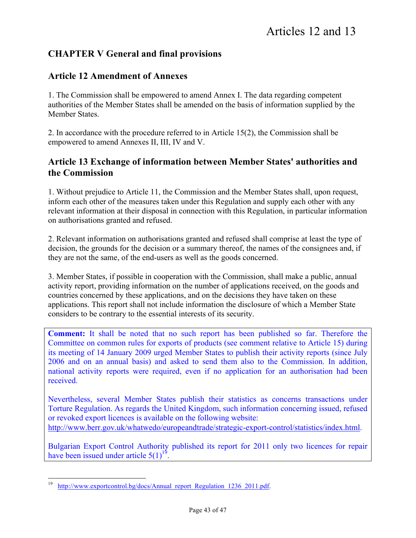## **CHAPTER V General and final provisions**

## **Article 12 Amendment of Annexes**

1. The Commission shall be empowered to amend Annex I. The data regarding competent authorities of the Member States shall be amended on the basis of information supplied by the Member States.

2. In accordance with the procedure referred to in Article 15(2), the Commission shall be empowered to amend Annexes II, III, IV and V.

## **Article 13 Exchange of information between Member States' authorities and the Commission**

1. Without prejudice to Article 11, the Commission and the Member States shall, upon request, inform each other of the measures taken under this Regulation and supply each other with any relevant information at their disposal in connection with this Regulation, in particular information on authorisations granted and refused.

2. Relevant information on authorisations granted and refused shall comprise at least the type of decision, the grounds for the decision or a summary thereof, the names of the consignees and, if they are not the same, of the end-users as well as the goods concerned.

3. Member States, if possible in cooperation with the Commission, shall make a public, annual activity report, providing information on the number of applications received, on the goods and countries concerned by these applications, and on the decisions they have taken on these applications. This report shall not include information the disclosure of which a Member State considers to be contrary to the essential interests of its security.

**Comment:** It shall be noted that no such report has been published so far. Therefore the Committee on common rules for exports of products (see comment relative to Article 15) during its meeting of 14 January 2009 urged Member States to publish their activity reports (since July 2006 and on an annual basis) and asked to send them also to the Commission. In addition, national activity reports were required, even if no application for an authorisation had been received.

Nevertheless, several Member States publish their statistics as concerns transactions under Torture Regulation. As regards the United Kingdom, such information concerning issued, refused or revoked export licences is available on the following website: http://www.berr.gov.uk/whatwedo/europeandtrade/strategic-export-control/statistics/index.html.

Bulgarian Export Control Authority published its report for 2011 only two licences for repair have been issued under article  $5(1)^{19}$ .

http://www.exportcontrol.bg/docs/Annual\_report\_Regulation\_1236\_2011.pdf.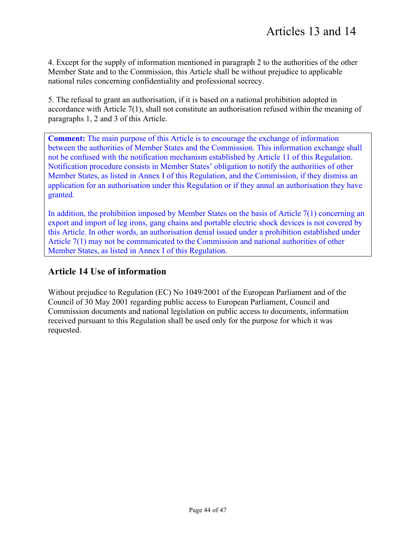4. Except for the supply of information mentioned in paragraph 2 to the authorities of the other Member State and to the Commission, this Article shall be without prejudice to applicable national rules concerning confidentiality and professional secrecy.

5. The refusal to grant an authorisation, if it is based on a national prohibition adopted in accordance with Article 7(1), shall not constitute an authorisation refused within the meaning of paragraphs 1, 2 and 3 of this Article.

**Comment:** The main purpose of this Article is to encourage the exchange of information between the authorities of Member States and the Commission. This information exchange shall not be confused with the notification mechanism established by Article 11 of this Regulation. Notification procedure consists in Member States' obligation to notify the authorities of other Member States, as listed in Annex I of this Regulation, and the Commission, if they dismiss an application for an authorisation under this Regulation or if they annul an authorisation they have granted.

In addition, the prohibition imposed by Member States on the basis of Article 7(1) concerning an export and import of leg irons, gang chains and portable electric shock devices is not covered by this Article. In other words, an authorisation denial issued under a prohibition established under Article 7(1) may not be communicated to the Commission and national authorities of other Member States, as listed in Annex I of this Regulation.

## **Article 14 Use of information**

Without prejudice to Regulation (EC) No 1049/2001 of the European Parliament and of the Council of 30 May 2001 regarding public access to European Parliament, Council and Commission documents and national legislation on public access to documents, information received pursuant to this Regulation shall be used only for the purpose for which it was requested.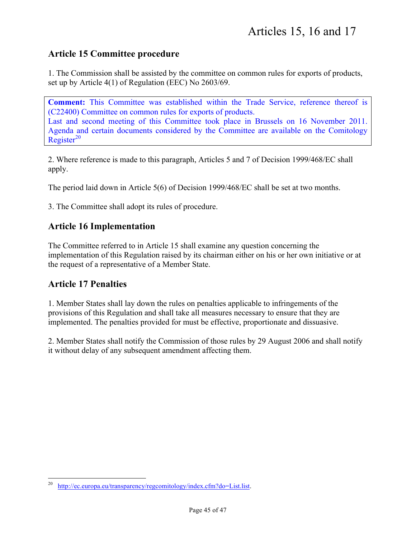## **Article 15 Committee procedure**

1. The Commission shall be assisted by the committee on common rules for exports of products, set up by Article 4(1) of Regulation (EEC) No 2603/69.

**Comment:** This Committee was established within the Trade Service, reference thereof is (C22400) Committee on common rules for exports of products. Last and second meeting of this Committee took place in Brussels on 16 November 2011. Agenda and certain documents considered by the Committee are available on the Comitology  $Reeister<sup>20</sup>$ 

2. Where reference is made to this paragraph, Articles 5 and 7 of Decision 1999/468/EC shall apply.

The period laid down in Article 5(6) of Decision 1999/468/EC shall be set at two months.

3. The Committee shall adopt its rules of procedure.

## **Article 16 Implementation**

The Committee referred to in Article 15 shall examine any question concerning the implementation of this Regulation raised by its chairman either on his or her own initiative or at the request of a representative of a Member State.

## **Article 17 Penalties**

1. Member States shall lay down the rules on penalties applicable to infringements of the provisions of this Regulation and shall take all measures necessary to ensure that they are implemented. The penalties provided for must be effective, proportionate and dissuasive.

2. Member States shall notify the Commission of those rules by 29 August 2006 and shall notify it without delay of any subsequent amendment affecting them.

 <sup>20</sup> http://ec.europa.eu/transparency/regcomitology/index.cfm?do=List.list.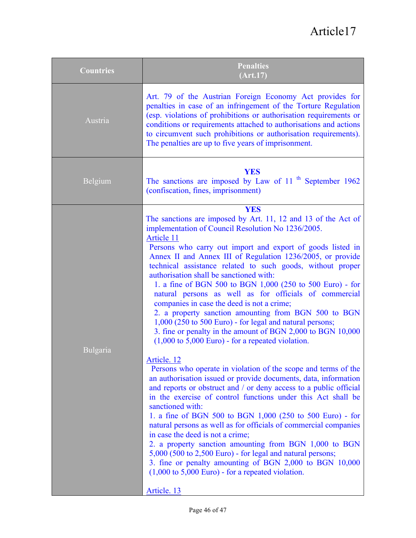# Article17

| <b>Countries</b> | <b>Penalties</b><br>(Art.17)                                                                                                                                                                                                                                                                                                                                                                                                                                                                                                                                                                                                                                                                                                                                                                                                                                                                                                                                                                                                                                                                                                                                                                                                                                                                                                                                                                                                                                                                                                                                                            |
|------------------|-----------------------------------------------------------------------------------------------------------------------------------------------------------------------------------------------------------------------------------------------------------------------------------------------------------------------------------------------------------------------------------------------------------------------------------------------------------------------------------------------------------------------------------------------------------------------------------------------------------------------------------------------------------------------------------------------------------------------------------------------------------------------------------------------------------------------------------------------------------------------------------------------------------------------------------------------------------------------------------------------------------------------------------------------------------------------------------------------------------------------------------------------------------------------------------------------------------------------------------------------------------------------------------------------------------------------------------------------------------------------------------------------------------------------------------------------------------------------------------------------------------------------------------------------------------------------------------------|
| Austria          | Art. 79 of the Austrian Foreign Economy Act provides for<br>penalties in case of an infringement of the Torture Regulation<br>(esp. violations of prohibitions or authorisation requirements or<br>conditions or requirements attached to authorisations and actions<br>to circumvent such prohibitions or authorisation requirements).<br>The penalties are up to five years of imprisonment.                                                                                                                                                                                                                                                                                                                                                                                                                                                                                                                                                                                                                                                                                                                                                                                                                                                                                                                                                                                                                                                                                                                                                                                          |
| Belgium          | <b>YES</b><br>The sanctions are imposed by Law of 11 <sup>th</sup> September 1962<br>(confiscation, fines, imprisonment)                                                                                                                                                                                                                                                                                                                                                                                                                                                                                                                                                                                                                                                                                                                                                                                                                                                                                                                                                                                                                                                                                                                                                                                                                                                                                                                                                                                                                                                                |
| Bulgaria         | <b>YES</b><br>The sanctions are imposed by Art. 11, 12 and 13 of the Act of<br>implementation of Council Resolution No 1236/2005.<br><b>Article 11</b><br>Persons who carry out import and export of goods listed in<br>Annex II and Annex III of Regulation 1236/2005, or provide<br>technical assistance related to such goods, without proper<br>authorisation shall be sanctioned with:<br>1. a fine of BGN 500 to BGN 1,000 (250 to 500 Euro) - for<br>natural persons as well as for officials of commercial<br>companies in case the deed is not a crime;<br>2. a property sanction amounting from BGN 500 to BGN<br>1,000 (250 to 500 Euro) - for legal and natural persons;<br>3. fine or penalty in the amount of BGN 2,000 to BGN 10,000<br>$(1,000 \text{ to } 5,000 \text{ Euro})$ - for a repeated violation.<br>Article. 12<br>Persons who operate in violation of the scope and terms of the<br>an authorisation issued or provide documents, data, information<br>and reports or obstruct and / or deny access to a public official<br>in the exercise of control functions under this Act shall be<br>sanctioned with:<br>1. a fine of BGN 500 to BGN 1,000 (250 to 500 Euro) - for<br>natural persons as well as for officials of commercial companies<br>in case the deed is not a crime;<br>2. a property sanction amounting from BGN 1,000 to BGN<br>5,000 (500 to 2,500 Euro) - for legal and natural persons;<br>3. fine or penalty amounting of BGN 2,000 to BGN 10,000<br>$(1,000 \text{ to } 5,000 \text{ Euro})$ - for a repeated violation.<br>Article. 13 |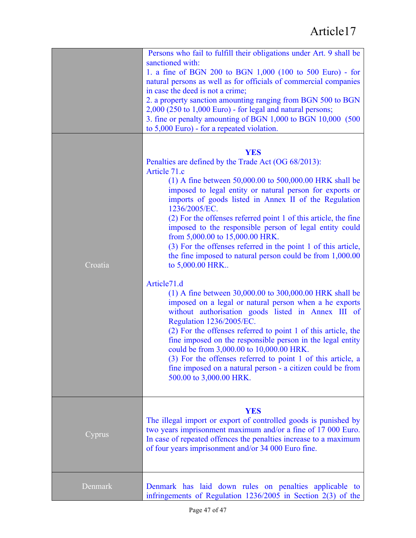|         | Persons who fail to fulfill their obligations under Art. 9 shall be<br>sanctioned with:<br>1. a fine of BGN 200 to BGN 1,000 (100 to 500 Euro) - for<br>natural persons as well as for officials of commercial companies<br>in case the deed is not a crime;<br>2. a property sanction amounting ranging from BGN 500 to BGN<br>2,000 (250 to 1,000 Euro) - for legal and natural persons;<br>3. fine or penalty amounting of BGN 1,000 to BGN 10,000 (500)<br>to $5,000$ Euro) - for a repeated violation.                                                                                                                                                                                                                                                                                                                                                                                                                                                                                                                                                                                                                                                        |
|---------|--------------------------------------------------------------------------------------------------------------------------------------------------------------------------------------------------------------------------------------------------------------------------------------------------------------------------------------------------------------------------------------------------------------------------------------------------------------------------------------------------------------------------------------------------------------------------------------------------------------------------------------------------------------------------------------------------------------------------------------------------------------------------------------------------------------------------------------------------------------------------------------------------------------------------------------------------------------------------------------------------------------------------------------------------------------------------------------------------------------------------------------------------------------------|
| Croatia | <b>YES</b><br>Penalties are defined by the Trade Act (OG 68/2013):<br>Article 71.c<br>$(1)$ A fine between 50,000.00 to 500,000.00 HRK shall be<br>imposed to legal entity or natural person for exports or<br>imports of goods listed in Annex II of the Regulation<br>1236/2005/EC.<br>(2) For the offenses referred point 1 of this article, the fine<br>imposed to the responsible person of legal entity could<br>from 5,000.00 to 15,000.00 HRK.<br>(3) For the offenses referred in the point 1 of this article,<br>the fine imposed to natural person could be from 1,000.00<br>to 5,000.00 HRK<br>Article71.d<br>$(1)$ A fine between 30,000.00 to 300,000.00 HRK shall be<br>imposed on a legal or natural person when a he exports<br>without authorisation goods listed in Annex III of<br>Regulation 1236/2005/EC.<br>(2) For the offenses referred to point 1 of this article, the<br>fine imposed on the responsible person in the legal entity<br>could be from 3,000.00 to 10,000.00 HRK.<br>(3) For the offenses referred to point 1 of this article, a<br>fine imposed on a natural person - a citizen could be from<br>500.00 to 3,000.00 HRK. |
| Cyprus  | <b>YES</b><br>The illegal import or export of controlled goods is punished by<br>two years imprisonment maximum and/or a fine of 17 000 Euro.<br>In case of repeated offences the penalties increase to a maximum<br>of four years imprisonment and/or 34 000 Euro fine.                                                                                                                                                                                                                                                                                                                                                                                                                                                                                                                                                                                                                                                                                                                                                                                                                                                                                           |
| Denmark | Denmark has laid down rules on penalties applicable to<br>infringements of Regulation $1236/2005$ in Section 2(3) of the                                                                                                                                                                                                                                                                                                                                                                                                                                                                                                                                                                                                                                                                                                                                                                                                                                                                                                                                                                                                                                           |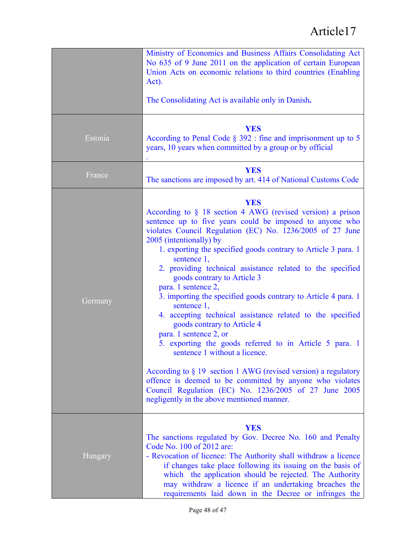# Article17

|         | Ministry of Economics and Business Affairs Consolidating Act<br>No 635 of 9 June 2011 on the application of certain European<br>Union Acts on economic relations to third countries (Enabling)<br>Act).                                                                                                                                                                                                                                                                                                                                                                                                                                                                                                                                                                                                                                                                                                                                                                          |
|---------|----------------------------------------------------------------------------------------------------------------------------------------------------------------------------------------------------------------------------------------------------------------------------------------------------------------------------------------------------------------------------------------------------------------------------------------------------------------------------------------------------------------------------------------------------------------------------------------------------------------------------------------------------------------------------------------------------------------------------------------------------------------------------------------------------------------------------------------------------------------------------------------------------------------------------------------------------------------------------------|
|         | The Consolidating Act is available only in Danish.                                                                                                                                                                                                                                                                                                                                                                                                                                                                                                                                                                                                                                                                                                                                                                                                                                                                                                                               |
| Estonia | <b>YES</b><br>According to Penal Code $\S 392$ : fine and imprisonment up to 5<br>years, 10 years when committed by a group or by official                                                                                                                                                                                                                                                                                                                                                                                                                                                                                                                                                                                                                                                                                                                                                                                                                                       |
| France  | <b>YES</b><br>The sanctions are imposed by art. 414 of National Customs Code                                                                                                                                                                                                                                                                                                                                                                                                                                                                                                                                                                                                                                                                                                                                                                                                                                                                                                     |
| Germany | <b>YES</b><br>According to $\S$ 18 section 4 AWG (revised version) a prison<br>sentence up to five years could be imposed to anyone who<br>violates Council Regulation (EC) No. 1236/2005 of 27 June<br>2005 (intentionally) by<br>1. exporting the specified goods contrary to Article 3 para. 1<br>sentence 1,<br>2. providing technical assistance related to the specified<br>goods contrary to Article 3<br>para. 1 sentence 2,<br>3. importing the specified goods contrary to Article 4 para. 1<br>sentence 1,<br>4. accepting technical assistance related to the specified<br>goods contrary to Article 4<br>para. 1 sentence 2, or<br>5. exporting the goods referred to in Article 5 para. 1<br>sentence 1 without a licence.<br>According to $\S$ 19 section 1 AWG (revised version) a regulatory<br>offence is deemed to be committed by anyone who violates<br>Council Regulation (EC) No. 1236/2005 of 27 June 2005<br>negligently in the above mentioned manner. |
| Hungary | <b>YES</b><br>The sanctions regulated by Gov. Decree No. 160 and Penalty<br>Code No. 100 of 2012 are:<br>- Revocation of licence: The Authority shall withdraw a licence<br>if changes take place following its issuing on the basis of<br>which the application should be rejected. The Authority<br>may withdraw a licence if an undertaking breaches the<br>requirements laid down in the Decree or infringes the                                                                                                                                                                                                                                                                                                                                                                                                                                                                                                                                                             |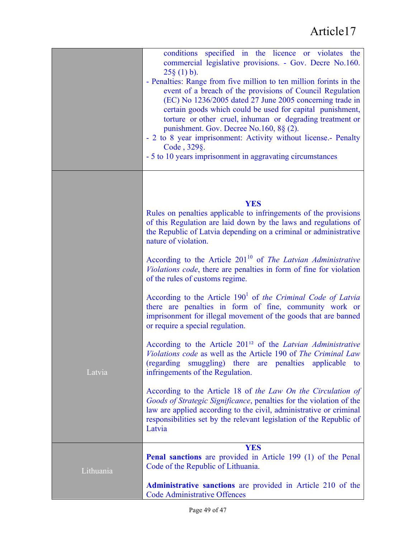|           | conditions specified in the licence or violates the<br>commercial legislative provisions. - Gov. Decre No.160.<br>$25\{(1)\}$ ).<br>- Penalties: Range from five million to ten million forints in the<br>event of a breach of the provisions of Council Regulation<br>(EC) No 1236/2005 dated 27 June 2005 concerning trade in<br>certain goods which could be used for capital punishment,<br>torture or other cruel, inhuman or degrading treatment or<br>punishment. Gov. Decree No.160, 8§ (2).<br>- 2 to 8 year imprisonment: Activity without license. - Penalty<br>Code, 329§.<br>- 5 to 10 years imprisonment in aggravating circumstances |
|-----------|-----------------------------------------------------------------------------------------------------------------------------------------------------------------------------------------------------------------------------------------------------------------------------------------------------------------------------------------------------------------------------------------------------------------------------------------------------------------------------------------------------------------------------------------------------------------------------------------------------------------------------------------------------|
|           | <b>YES</b><br>Rules on penalties applicable to infringements of the provisions<br>of this Regulation are laid down by the laws and regulations of<br>the Republic of Latvia depending on a criminal or administrative<br>nature of violation.                                                                                                                                                                                                                                                                                                                                                                                                       |
|           | According to the Article $201^{10}$ of <i>The Latvian Administrative</i><br>Violations code, there are penalties in form of fine for violation<br>of the rules of customs regime.                                                                                                                                                                                                                                                                                                                                                                                                                                                                   |
|           | According to the Article $1901$ of the Criminal Code of Latvia<br>there are penalties in form of fine, community work or<br>imprisonment for illegal movement of the goods that are banned<br>or require a special regulation.                                                                                                                                                                                                                                                                                                                                                                                                                      |
| Latvia    | According to the Article 201 <sup>12</sup> of the Latvian Administrative<br>Violations code as well as the Article 190 of The Criminal Law<br>(regarding)<br>penalties applicable<br>smuggling) there are<br>to<br>infringements of the Regulation.                                                                                                                                                                                                                                                                                                                                                                                                 |
|           | According to the Article 18 of the Law On the Circulation of<br>Goods of Strategic Significance, penalties for the violation of the<br>law are applied according to the civil, administrative or criminal<br>responsibilities set by the relevant legislation of the Republic of<br>Latvia                                                                                                                                                                                                                                                                                                                                                          |
| Lithuania | <b>YES</b><br><b>Penal sanctions</b> are provided in Article 199 (1) of the Penal<br>Code of the Republic of Lithuania.                                                                                                                                                                                                                                                                                                                                                                                                                                                                                                                             |
|           | <b>Administrative sanctions</b> are provided in Article 210 of the<br><b>Code Administrative Offences</b>                                                                                                                                                                                                                                                                                                                                                                                                                                                                                                                                           |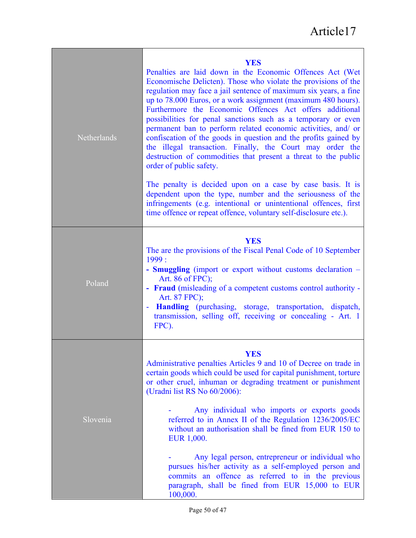┑

| Netherlands | <b>YES</b><br>Penalties are laid down in the Economic Offences Act (Wet<br>Economische Delicten). Those who violate the provisions of the<br>regulation may face a jail sentence of maximum six years, a fine<br>up to 78.000 Euros, or a work assignment (maximum 480 hours).<br>Furthermore the Economic Offences Act offers additional<br>possibilities for penal sanctions such as a temporary or even<br>permanent ban to perform related economic activities, and/ or<br>confiscation of the goods in question and the profits gained by<br>the illegal transaction. Finally, the Court may order the<br>destruction of commodities that present a threat to the public<br>order of public safety.<br>The penalty is decided upon on a case by case basis. It is<br>dependent upon the type, number and the seriousness of the<br>infringements (e.g. intentional or unintentional offences, first<br>time offence or repeat offence, voluntary self-disclosure etc.). |
|-------------|------------------------------------------------------------------------------------------------------------------------------------------------------------------------------------------------------------------------------------------------------------------------------------------------------------------------------------------------------------------------------------------------------------------------------------------------------------------------------------------------------------------------------------------------------------------------------------------------------------------------------------------------------------------------------------------------------------------------------------------------------------------------------------------------------------------------------------------------------------------------------------------------------------------------------------------------------------------------------|
| Poland      | <b>YES</b><br>The are the provisions of the Fiscal Penal Code of 10 September<br>1999:<br>- Smuggling (import or export without customs declaration -<br>Art. 86 of FPC);<br>- Fraud (misleading of a competent customs control authority -<br>Art. 87 FPC);<br>Handling (purchasing, storage, transportation, dispatch,<br>transmission, selling off, receiving or concealing - Art. 1                                                                                                                                                                                                                                                                                                                                                                                                                                                                                                                                                                                      |
| Slovenia    | FPC).<br><b>YES</b><br>Administrative penalties Articles 9 and 10 of Decree on trade in<br>certain goods which could be used for capital punishment, torture<br>or other cruel, inhuman or degrading treatment or punishment<br>(Uradni list RS No 60/2006):                                                                                                                                                                                                                                                                                                                                                                                                                                                                                                                                                                                                                                                                                                                 |
|             | Any individual who imports or exports goods<br>referred to in Annex II of the Regulation 1236/2005/EC<br>without an authorisation shall be fined from EUR 150 to<br>EUR 1,000.<br>Any legal person, entrepreneur or individual who<br>pursues his/her activity as a self-employed person and<br>commits an offence as referred to in the previous<br>paragraph, shall be fined from EUR 15,000 to EUR<br>100,000.                                                                                                                                                                                                                                                                                                                                                                                                                                                                                                                                                            |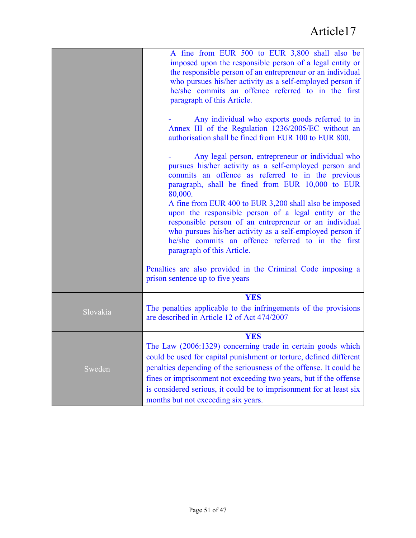| A fine from EUR 500 to EUR 3,800 shall also be<br>imposed upon the responsible person of a legal entity or<br>the responsible person of an entrepreneur or an individual<br>who pursues his/her activity as a self-employed person if<br>he/she commits an offence referred to in the first<br>paragraph of this Article.                                                                                  |
|------------------------------------------------------------------------------------------------------------------------------------------------------------------------------------------------------------------------------------------------------------------------------------------------------------------------------------------------------------------------------------------------------------|
| Any individual who exports goods referred to in<br>Annex III of the Regulation 1236/2005/EC without an<br>authorisation shall be fined from EUR 100 to EUR 800.                                                                                                                                                                                                                                            |
| Any legal person, entrepreneur or individual who<br>pursues his/her activity as a self-employed person and<br>commits an offence as referred to in the previous<br>paragraph, shall be fined from EUR 10,000 to EUR<br>80,000.<br>A fine from EUR 400 to EUR 3,200 shall also be imposed<br>upon the responsible person of a legal entity or the<br>responsible person of an entrepreneur or an individual |
| who pursues his/her activity as a self-employed person if<br>he/she commits an offence referred to in the first<br>paragraph of this Article.                                                                                                                                                                                                                                                              |
| Penalties are also provided in the Criminal Code imposing a<br>prison sentence up to five years                                                                                                                                                                                                                                                                                                            |
| <b>YES</b><br>The penalties applicable to the infringements of the provisions<br>are described in Article 12 of Act 474/2007                                                                                                                                                                                                                                                                               |
| <b>YES</b><br>The Law (2006:1329) concerning trade in certain goods which<br>could be used for capital punishment or torture, defined different<br>penalties depending of the seriousness of the offense. It could be<br>fines or imprisonment not exceeding two years, but if the offense<br>is considered serious, it could be to imprisonment for at least six<br>months but not exceeding six years.   |
|                                                                                                                                                                                                                                                                                                                                                                                                            |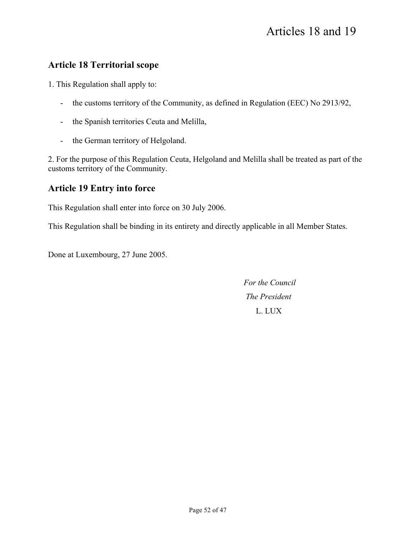# **Article 18 Territorial scope**

1. This Regulation shall apply to:

- the customs territory of the Community, as defined in Regulation (EEC) No 2913/92,
- the Spanish territories Ceuta and Melilla,
- the German territory of Helgoland.

2. For the purpose of this Regulation Ceuta, Helgoland and Melilla shall be treated as part of the customs territory of the Community.

## **Article 19 Entry into force**

This Regulation shall enter into force on 30 July 2006.

This Regulation shall be binding in its entirety and directly applicable in all Member States.

Done at Luxembourg, 27 June 2005.

*For the Council The President* L. LUX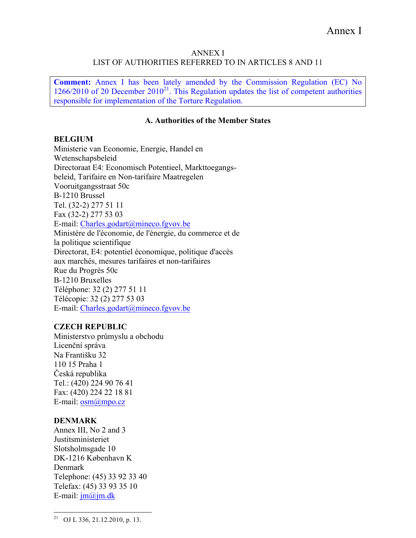#### ANNEX I

### LIST OF AUTHORITIES REFERRED TO IN ARTICLES 8 AND 11

**Comment:** Annex I has been lately amended by the Commission Regulation (EC) No  $1266/2010$  of 20 December  $2010^{21}$ . This Regulation updates the list of competent authorities responsible for implementation of the Torture Regulation.

#### **A. Authorities of the Member States**

#### **BELGIUM**

Ministerie van Economie, Energie, Handel en Wetenschapsbeleid Directoraat E4: Economisch Potentieel, Markttoegangsbeleid, Tarifaire en Non-tarifaire Maatregelen Vooruitgangsstraat 50c B-1210 Brussel Tel. (32-2) 277 51 11 Fax (32-2) 277 53 03 E-mail: Charles.godart@mineco.fgvov.be Ministère de l'économie, de l'énergie, du commerce et de la politique scientifique Directorat, E4: potentiel économique, politique d'accès aux marchés, mesures tarifaires et non-tarifaires Rue du Progrès 50c B-1210 Bruxelles Téléphone: 32 (2) 277 51 11 Télécopie: 32 (2) 277 53 03 E-mail: Charles.godart@mineco.fgvov.be

#### **CZECH REPUBLIC**

Ministerstvo průmyslu a obchodu Licenční správa Na Františku 32 110 15 Praha 1 Česká republika Tel.: (420) 224 90 76 41 Fax: (420) 224 22 18 81 E-mail: osm@mpo.cz

#### **DENMARK**

Annex III, No 2 and 3 Justitsministeriet Slotsholmsgade 10 DK-1216 København K Denmark Telephone: (45) 33 92 33 40 Telefax: (45) 33 93 35 10 E-mail:  $jm@jm.dk$ 

<sup>&</sup>lt;sup>21</sup> OJ L 336, 21.12.2010, p. 13.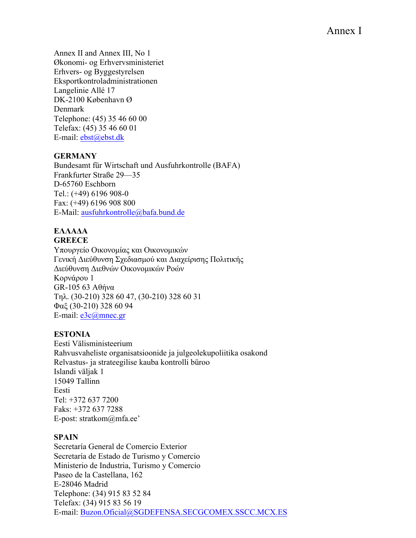Annex II and Annex III, No 1 Økonomi- og Erhvervsministeriet Erhvers- og Byggestyrelsen Eksportkontroladministrationen Langelinie Allé 17 DK-2100 København Ø Denmark Telephone: (45) 35 46 60 00 Telefax: (45) 35 46 60 01 E-mail: ebst@ebst.dk

### **GERMANY**

Bundesamt für Wirtschaft und Ausfuhrkontrolle (BAFA) Frankfurter Straße 29—35 D-65760 Eschborn Tel.: (+49) 6196 908-0 Fax: (+49) 6196 908 800 E-Mail: ausfuhrkontrolle@bafa.bund.de

#### **ΕΛΛΑΔΑ GREECE**

Υπουργείο Οικονοµίας και Οικονοµικών Γενική Διεύθυνση Σχεδιασµού και Διαχείρισης Πολιτικής Διεύθυνση Διεθνών Οικονοµικών Ροών Κορνάρου 1 GR-105 63 Αθήνα Τηλ. (30-210) 328 60 47, (30-210) 328 60 31 Φαξ (30-210) 328 60 94 E-mail: e3c@mnec.gr

### **ESTONIA**

Eesti Välisministeerium Rahvusvaheliste organisatsioonide ja julgeolekupoliitika osakond Relvastus- ja strateegilise kauba kontrolli büroo Islandi väljak 1 15049 Tallinn Eesti Tel: +372 637 7200 Faks: +372 637 7288 E-post: stratkom@mfa.ee'

### **SPAIN**

Secretaría General de Comercio Exterior Secretaría de Estado de Turismo y Comercio Ministerio de Industria, Turismo y Comercio Paseo de la Castellana, 162 E-28046 Madrid Telephone: (34) 915 83 52 84 Telefax: (34) 915 83 56 19 E-mail: Buzon.Oficial@SGDEFENSA.SECGCOMEX.SSCC.MCX.ES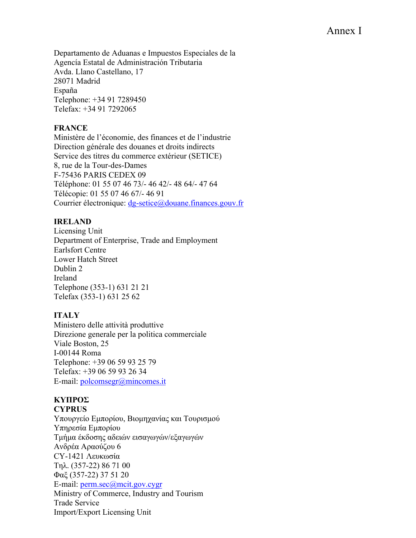Departamento de Aduanas e Impuestos Especiales de la Agencía Estatal de Administración Tributaria Avda. Llano Castellano, 17 28071 Madrid España Telephone: +34 91 7289450 Telefax: +34 91 7292065

#### **FRANCE**

Ministère de l'économie, des finances et de l'industrie Direction générale des douanes et droits indirects Service des titres du commerce extérieur (SETICE) 8, rue de la Tour-des-Dames F-75436 PARIS CEDEX 09 Téléphone: 01 55 07 46 73/- 46 42/- 48 64/- 47 64 Télécopie: 01 55 07 46 67/- 46 91 Courrier électronique: dg-setice@douane.finances.gouv.fr

#### **IRELAND**

Licensing Unit Department of Enterprise, Trade and Employment Earlsfort Centre Lower Hatch Street Dublin 2 Ireland Telephone (353-1) 631 21 21 Telefax (353-1) 631 25 62

#### **ITALY**

Ministero delle attività produttive Direzione generale per la politica commerciale Viale Boston, 25 I-00144 Roma Telephone: +39 06 59 93 25 79 Telefax: +39 06 59 93 26 34 E-mail: polcomsegr@mincomes.it

## **ΚΥΠΡΟΣ**

**CYPRUS**

Υπουργείο Εµπορίου, Βιοµηχανίας και Τουρισµού Υπηρεσία Εµπορίου Τµήµα έκδοσης αδειών εισαγωγών/εξαγωγών Ανδρέα Αραούζου 6 CY-1421 Λευκωσία Τηλ. (357-22) 86 71 00 Φαξ (357-22) 37 51 20 E-mail: perm.sec@mcit.gov.cygr Ministry of Commerce, Industry and Tourism Trade Service Import/Export Licensing Unit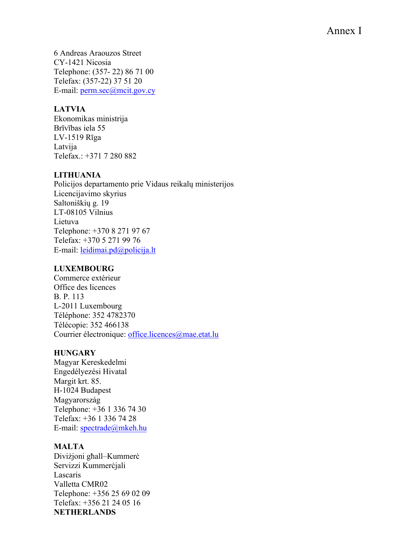6 Andreas Araouzos Street CY-1421 Nicosia Telephone: (357- 22) 86 71 00 Telefax: (357-22) 37 51 20 E-mail: perm.sec@mcit.gov.cy

#### **LATVIA**

Ekonomikas ministrija Brīvības iela 55 LV-1519 Rīga Latvija Telefax.: +371 7 280 882

#### **LITHUANIA**

Policijos departamento prie Vidaus reikalų ministerijos Licencijavimo skyrius Saltoniškių g. 19 LT-08105 Vilnius Lietuva Telephone: +370 8 271 97 67 Telefax: +370 5 271 99 76 E-mail: leidimai.pd@policija.lt

#### **LUXEMBOURG**

Commerce extérieur Office des licences B. P. 113 L-2011 Luxembourg Téléphone: 352 4782370 Télécopie: 352 466138 Courrier électronique: office.licences@mae.etat.lu

### **HUNGARY**

Magyar Kereskedelmi Engedélyezési Hivatal Margit krt. 85. H-1024 Budapest Magyarország Telephone: +36 1 336 74 30 Telefax: +36 1 336 74 28 E-mail: spectrade@mkeh.hu

### **MALTA**

Diviżjoni għall–Kummerċ Servizzi Kummerċjali Lascaris Valletta CMR02 Telephone: +356 25 69 02 09 Telefax: +356 21 24 05 16 **NETHERLANDS**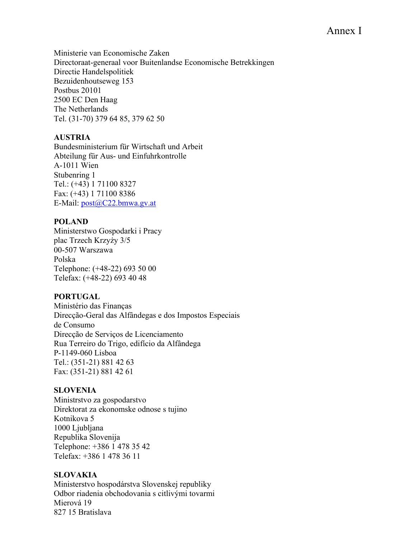Ministerie van Economische Zaken Directoraat-generaal voor Buitenlandse Economische Betrekkingen Directie Handelspolitiek Bezuidenhoutseweg 153 Postbus 20101 2500 EC Den Haag The Netherlands Tel. (31-70) 379 64 85, 379 62 50

#### **AUSTRIA**

Bundesministerium für Wirtschaft und Arbeit Abteilung für Aus- und Einfuhrkontrolle A-1011 Wien Stubenring 1 Tel.: (+43) 1 71100 8327 Fax: (+43) 1 71100 8386 E-Mail: post@C22.bmwa.gv.at

#### **POLAND**

Ministerstwo Gospodarki i Pracy plac Trzech Krzyży 3/5 00-507 Warszawa Polska Telephone: (+48-22) 693 50 00 Telefax: (+48-22) 693 40 48

#### **PORTUGAL**

Ministério das Finanças Direcção-Geral das Alfândegas e dos Impostos Especiais de Consumo Direcção de Serviços de Licenciamento Rua Terreiro do Trigo, edifício da Alfândega P-1149-060 Lisboa Tel.: (351-21) 881 42 63 Fax: (351-21) 881 42 61

### **SLOVENIA**

Ministrstvo za gospodarstvo Direktorat za ekonomske odnose s tujino Kotnikova 5 1000 Ljubljana Republika Slovenija Telephone: +386 1 478 35 42 Telefax: +386 1 478 36 11

#### **SLOVAKIA**

Ministerstvo hospodárstva Slovenskej republiky Odbor riadenia obchodovania s citlivými tovarmi Mierová 19 827 15 Bratislava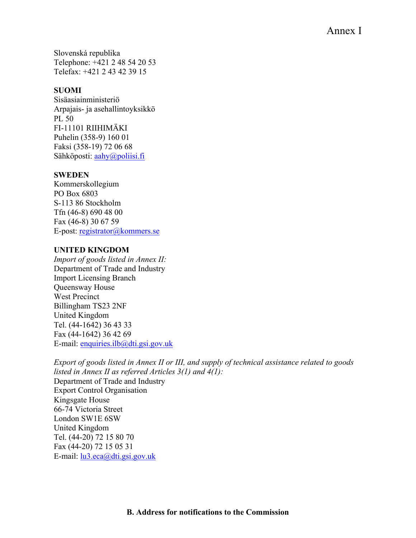Slovenská republika Telephone: +421 2 48 54 20 53 Telefax: +421 2 43 42 39 15

#### **SUOMI**

Sisäasiainministeriö Arpajais- ja asehallintoyksikkö PL 50 FI-11101 RIIHIMÄKI Puhelin (358-9) 160 01 Faksi (358-19) 72 06 68 Sähköposti: aahy@poliisi.fi

#### **SWEDEN**

Kommerskollegium PO Box 6803 S-113 86 Stockholm Tfn (46-8) 690 48 00 Fax (46-8) 30 67 59 E-post: registrator@kommers.se

#### **UNITED KINGDOM**

*Import of goods listed in Annex II:* Department of Trade and Industry Import Licensing Branch Queensway House West Precinct Billingham TS23 2NF United Kingdom Tel. (44-1642) 36 43 33 Fax (44-1642) 36 42 69 E-mail: enquiries.ilb@dti.gsi.gov.uk

*Export of goods listed in Annex II or III, and supply of technical assistance related to goods listed in Annex II as referred Articles 3(1) and 4(1):* Department of Trade and Industry Export Control Organisation Kingsgate House 66-74 Victoria Street London SW1E 6SW United Kingdom Tel. (44-20) 72 15 80 70 Fax (44-20) 72 15 05 31 E-mail: lu3.eca@dti.gsi.gov.uk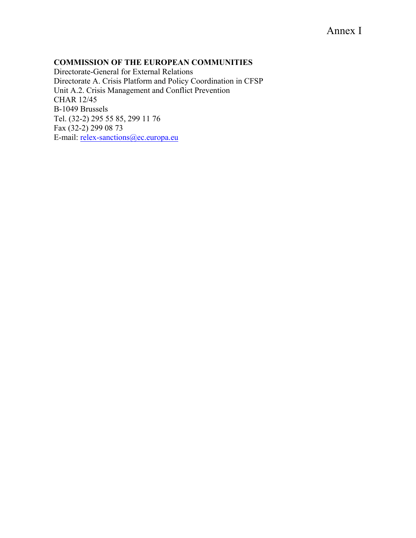#### **COMMISSION OF THE EUROPEAN COMMUNITIES**

Directorate-General for External Relations Directorate A. Crisis Platform and Policy Coordination in CFSP Unit A.2. Crisis Management and Conflict Prevention CHAR 12/45 B-1049 Brussels Tel. (32-2) 295 55 85, 299 11 76 Fax (32-2) 299 08 73 E-mail: relex-sanctions@ec.europa.eu